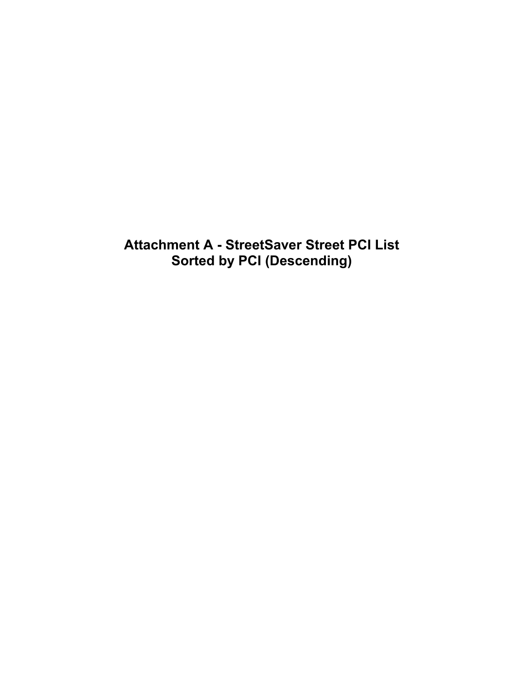**Attachment A - StreetSaver Street PCI List Sorted by PCI (Descending)**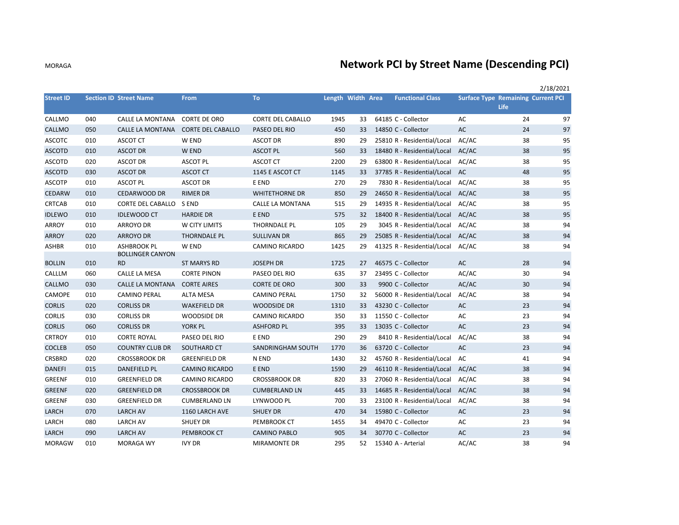## **Network PCI by Street Name (Descending PCI)**

|                  |     |                                      |                                    |                          |                   |    |                             |       |                                           | 2/18/2021 |
|------------------|-----|--------------------------------------|------------------------------------|--------------------------|-------------------|----|-----------------------------|-------|-------------------------------------------|-----------|
| <b>Street ID</b> |     | <b>Section ID Street Name</b>        | <b>From</b>                        | <b>To</b>                | Length Width Area |    | <b>Functional Class</b>     |       | <b>Surface Type Remaining Current PCI</b> |           |
|                  |     |                                      |                                    |                          |                   |    |                             |       | Life                                      |           |
| CALLMO           | 040 | CALLE LA MONTANA                     | <b>CORTE DE ORO</b>                | <b>CORTE DEL CABALLO</b> | 1945              | 33 | 64185 C - Collector         | AC    | 24                                        | 97        |
| CALLMO           | 050 |                                      | CALLE LA MONTANA CORTE DEL CABALLO | PASEO DEL RIO            | 450               | 33 | 14850 C - Collector         | AC    | 24                                        | 97        |
| <b>ASCOTC</b>    | 010 | <b>ASCOT CT</b>                      | W END                              | <b>ASCOT DR</b>          | 890               | 29 | 25810 R - Residential/Local | AC/AC | 38                                        | 95        |
| <b>ASCOTD</b>    | 010 | <b>ASCOT DR</b>                      | W END                              | <b>ASCOT PL</b>          | 560               | 33 | 18480 R - Residential/Local | AC/AC | 38                                        | 95        |
| <b>ASCOTD</b>    | 020 | <b>ASCOT DR</b>                      | <b>ASCOT PL</b>                    | <b>ASCOT CT</b>          | 2200              | 29 | 63800 R - Residential/Local | AC/AC | 38                                        | 95        |
| <b>ASCOTD</b>    | 030 | <b>ASCOT DR</b>                      | <b>ASCOT CT</b>                    | 1145 E ASCOT CT          | 1145              | 33 | 37785 R - Residential/Local | AC    | 48                                        | 95        |
| <b>ASCOTP</b>    | 010 | <b>ASCOT PL</b>                      | <b>ASCOT DR</b>                    | E END                    | 270               | 29 | 7830 R - Residential/Local  | AC/AC | 38                                        | 95        |
| CEDARW           | 010 | <b>CEDARWOOD DR</b>                  | <b>RIMER DR</b>                    | <b>WHITETHORNE DR</b>    | 850               | 29 | 24650 R - Residential/Local | AC/AC | 38                                        | 95        |
| <b>CRTCAB</b>    | 010 | CORTE DEL CABALLO                    | S END                              | CALLE LA MONTANA         | 515               | 29 | 14935 R - Residential/Local | AC/AC | 38                                        | 95        |
| <b>IDLEWO</b>    | 010 | <b>IDLEWOOD CT</b>                   | <b>HARDIE DR</b>                   | E END                    | 575               | 32 | 18400 R - Residential/Local | AC/AC | 38                                        | 95        |
| <b>ARROY</b>     | 010 | <b>ARROYO DR</b>                     | W CITY LIMITS                      | THORNDALE PL             | 105               | 29 | 3045 R - Residential/Local  | AC/AC | 38                                        | 94        |
| <b>ARROY</b>     | 020 | <b>ARROYO DR</b>                     | <b>THORNDALE PL</b>                | <b>SULLIVAN DR</b>       | 865               | 29 | 25085 R - Residential/Local | AC/AC | 38                                        | 94        |
| ASHBR            | 010 | <b>ASHBROOK PL</b>                   | W END                              | <b>CAMINO RICARDO</b>    | 1425              | 29 | 41325 R - Residential/Local | AC/AC | 38                                        | 94        |
| <b>BOLLIN</b>    | 010 | <b>BOLLINGER CANYON</b><br><b>RD</b> | ST MARYS RD                        | <b>JOSEPH DR</b>         | 1725              | 27 | 46575 C - Collector         | AC    | 28                                        | 94        |
| CALLLM           | 060 | CALLE LA MESA                        | <b>CORTE PINON</b>                 | PASEO DEL RIO            | 635               | 37 | 23495 C - Collector         | AC/AC | 30                                        | 94        |
| CALLMO           | 030 | CALLE LA MONTANA                     | <b>CORTE AIRES</b>                 | <b>CORTE DE ORO</b>      | 300               | 33 | 9900 C - Collector          | AC/AC | 30                                        | 94        |
| CAMOPE           | 010 | <b>CAMINO PERAL</b>                  | <b>ALTA MESA</b>                   | <b>CAMINO PERAL</b>      | 1750              | 32 | 56000 R - Residential/Local | AC/AC | 38                                        | 94        |
| <b>CORLIS</b>    | 020 | <b>CORLISS DR</b>                    | <b>WAKEFIELD DR</b>                | <b>WOODSIDE DR</b>       | 1310              | 33 | 43230 C - Collector         | AC    | 23                                        | 94        |
| <b>CORLIS</b>    | 030 | <b>CORLISS DR</b>                    | WOODSIDE DR                        | <b>CAMINO RICARDO</b>    | 350               | 33 | 11550 C - Collector         | AC    | 23                                        | 94        |
| <b>CORLIS</b>    | 060 | <b>CORLISS DR</b>                    | YORK PL                            | <b>ASHFORD PL</b>        | 395               | 33 | 13035 C - Collector         | AC    | 23                                        | 94        |
| <b>CRTROY</b>    | 010 | <b>CORTE ROYAL</b>                   | PASEO DEL RIO                      | E END                    | 290               | 29 | 8410 R - Residential/Local  | AC/AC | 38                                        | 94        |
| <b>COCLEB</b>    | 050 | <b>COUNTRY CLUB DR</b>               | SOUTHARD CT                        | SANDRINGHAM SOUTH        | 1770              | 36 | 63720 C - Collector         | AC    | 23                                        | 94        |
| CRSBRD           | 020 | <b>CROSSBROOK DR</b>                 | <b>GREENFIELD DR</b>               | N END                    | 1430              | 32 | 45760 R - Residential/Local | AC    | 41                                        | 94        |
| <b>DANEFI</b>    | 015 | <b>DANEFIELD PL</b>                  | <b>CAMINO RICARDO</b>              | E END                    | 1590              | 29 | 46110 R - Residential/Local | AC/AC | 38                                        | 94        |
| <b>GREENF</b>    | 010 | <b>GREENFIELD DR</b>                 | <b>CAMINO RICARDO</b>              | <b>CROSSBROOK DR</b>     | 820               | 33 | 27060 R - Residential/Local | AC/AC | 38                                        | 94        |
| <b>GREENF</b>    | 020 | <b>GREENFIELD DR</b>                 | <b>CROSSBROOK DR</b>               | <b>CUMBERLAND LN</b>     | 445               | 33 | 14685 R - Residential/Local | AC/AC | 38                                        | 94        |
| GREENF           | 030 | <b>GREENFIELD DR</b>                 | <b>CUMBERLAND LN</b>               | LYNWOOD PL               | 700               | 33 | 23100 R - Residential/Local | AC/AC | 38                                        | 94        |
| LARCH            | 070 | <b>LARCH AV</b>                      | 1160 LARCH AVE                     | <b>SHUEY DR</b>          | 470               | 34 | 15980 C - Collector         | AC    | 23                                        | 94        |
| LARCH            | 080 | <b>LARCH AV</b>                      | <b>SHUEY DR</b>                    | PEMBROOK CT              | 1455              | 34 | 49470 C - Collector         | AC    | 23                                        | 94        |
| LARCH            | 090 | <b>LARCH AV</b>                      | PEMBROOK CT                        | <b>CAMINO PABLO</b>      | 905               | 34 | 30770 C - Collector         | AC    | 23                                        | 94        |
| <b>MORAGW</b>    | 010 | MORAGA WY                            | <b>IVY DR</b>                      | <b>MIRAMONTE DR</b>      | 295               | 52 | 15340 A - Arterial          | AC/AC | 38                                        | 94        |

MORAGA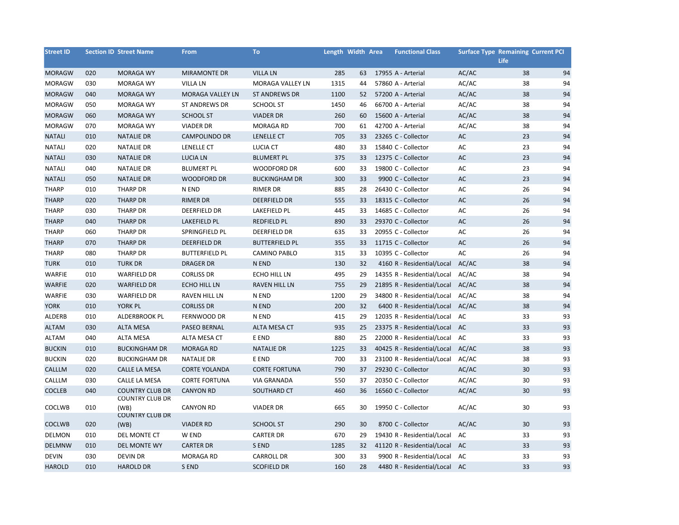| <b>Street ID</b> |     | <b>Section ID Street Name</b>                    | <b>From</b>             | To                    | Length Width Area |    | <b>Functional Class</b>       | <b>Surface Type Remaining Current PCI</b> | Life |    |
|------------------|-----|--------------------------------------------------|-------------------------|-----------------------|-------------------|----|-------------------------------|-------------------------------------------|------|----|
| <b>MORAGW</b>    | 020 | <b>MORAGA WY</b>                                 | <b>MIRAMONTE DR</b>     | <b>VILLA LN</b>       | 285               | 63 | 17955 A - Arterial            | AC/AC                                     | 38   | 94 |
| <b>MORAGW</b>    | 030 | <b>MORAGA WY</b>                                 | <b>VILLA LN</b>         | MORAGA VALLEY LN      | 1315              | 44 | 57860 A - Arterial            | AC/AC                                     | 38   | 94 |
| <b>MORAGW</b>    | 040 | <b>MORAGA WY</b>                                 | <b>MORAGA VALLEY LN</b> | <b>ST ANDREWS DR</b>  | 1100              | 52 | 57200 A - Arterial            | AC/AC                                     | 38   | 94 |
| <b>MORAGW</b>    | 050 | <b>MORAGA WY</b>                                 | <b>ST ANDREWS DR</b>    | <b>SCHOOL ST</b>      | 1450              | 46 | 66700 A - Arterial            | AC/AC                                     | 38   | 94 |
| <b>MORAGW</b>    | 060 | <b>MORAGA WY</b>                                 | <b>SCHOOL ST</b>        | <b>VIADER DR</b>      | 260               | 60 | 15600 A - Arterial            | AC/AC                                     | 38   | 94 |
| <b>MORAGW</b>    | 070 | <b>MORAGA WY</b>                                 | <b>VIADER DR</b>        | <b>MORAGA RD</b>      | 700               | 61 | 42700 A - Arterial            | AC/AC                                     | 38   | 94 |
| <b>NATALI</b>    | 010 | <b>NATALIE DR</b>                                | <b>CAMPOLINDO DR</b>    | LENELLE CT            | 705               | 33 | 23265 C - Collector           | AC                                        | 23   | 94 |
| <b>NATALI</b>    | 020 | <b>NATALIE DR</b>                                | LENELLE CT              | <b>LUCIA CT</b>       | 480               | 33 | 15840 C - Collector           | AC                                        | 23   | 94 |
| <b>NATALI</b>    | 030 | <b>NATALIE DR</b>                                | <b>LUCIA LN</b>         | <b>BLUMERT PL</b>     | 375               | 33 | 12375 C - Collector           | AC                                        | 23   | 94 |
| <b>NATALI</b>    | 040 | <b>NATALIE DR</b>                                | <b>BLUMERT PL</b>       | WOODFORD DR           | 600               | 33 | 19800 C - Collector           | AC                                        | 23   | 94 |
| <b>NATALI</b>    | 050 | <b>NATALIE DR</b>                                | <b>WOODFORD DR</b>      | <b>BUCKINGHAM DR</b>  | 300               | 33 | 9900 C - Collector            | AC                                        | 23   | 94 |
| <b>THARP</b>     | 010 | THARP DR                                         | N END                   | <b>RIMER DR</b>       | 885               | 28 | 26430 C - Collector           | AC                                        | 26   | 94 |
| <b>THARP</b>     | 020 | <b>THARP DR</b>                                  | <b>RIMER DR</b>         | <b>DEERFIELD DR</b>   | 555               | 33 | 18315 C - Collector           | AC                                        | 26   | 94 |
| <b>THARP</b>     | 030 | <b>THARP DR</b>                                  | DEERFIELD DR            | LAKEFIELD PL          | 445               | 33 | 14685 C - Collector           | AC                                        | 26   | 94 |
| <b>THARP</b>     | 040 | <b>THARP DR</b>                                  | LAKEFIELD PL            | REDFIELD PL           | 890               | 33 | 29370 C - Collector           | AC                                        | 26   | 94 |
| <b>THARP</b>     | 060 | <b>THARP DR</b>                                  | SPRINGFIELD PL          | <b>DEERFIELD DR</b>   | 635               | 33 | 20955 C - Collector           | AC                                        | 26   | 94 |
| <b>THARP</b>     | 070 | <b>THARP DR</b>                                  | DEERFIELD DR            | <b>BUTTERFIELD PL</b> | 355               | 33 | 11715 C - Collector           | AC                                        | 26   | 94 |
| <b>THARP</b>     | 080 | <b>THARP DR</b>                                  | <b>BUTTERFIELD PL</b>   | <b>CAMINO PABLO</b>   | 315               | 33 | 10395 C - Collector           | AC                                        | 26   | 94 |
| <b>TURK</b>      | 010 | <b>TURK DR</b>                                   | <b>DRAGER DR</b>        | N END                 | 130               | 32 | 4160 R - Residential/Local    | AC/AC                                     | 38   | 94 |
| WARFIE           | 010 | <b>WARFIELD DR</b>                               | <b>CORLISS DR</b>       | ECHO HILL LN          | 495               | 29 | 14355 R - Residential/Local   | AC/AC                                     | 38   | 94 |
| WARFIE           | 020 | <b>WARFIELD DR</b>                               | <b>ECHO HILL LN</b>     | <b>RAVEN HILL LN</b>  | 755               | 29 | 21895 R - Residential/Local   | AC/AC                                     | 38   | 94 |
| WARFIE           | 030 | <b>WARFIELD DR</b>                               | <b>RAVEN HILL LN</b>    | N END                 | 1200              | 29 | 34800 R - Residential/Local   | AC/AC                                     | 38   | 94 |
| <b>YORK</b>      | 010 | YORK PL                                          | <b>CORLISS DR</b>       | N END                 | 200               | 32 | 6400 R - Residential/Local    | AC/AC                                     | 38   | 94 |
| ALDERB           | 010 | ALDERBROOK PL                                    | FERNWOOD DR             | N END                 | 415               | 29 | 12035 R - Residential/Local   | AC                                        | 33   | 93 |
| <b>ALTAM</b>     | 030 | <b>ALTA MESA</b>                                 | PASEO BERNAL            | ALTA MESA CT          | 935               | 25 | 23375 R - Residential/Local   | AC                                        | 33   | 93 |
| <b>ALTAM</b>     | 040 | <b>ALTA MESA</b>                                 | ALTA MESA CT            | E END                 | 880               | 25 | 22000 R - Residential/Local   | AC                                        | 33   | 93 |
| <b>BUCKIN</b>    | 010 | <b>BUCKINGHAM DR</b>                             | <b>MORAGA RD</b>        | <b>NATALIE DR</b>     | 1225              | 33 | 40425 R - Residential/Local   | AC/AC                                     | 38   | 93 |
| <b>BUCKIN</b>    | 020 | <b>BUCKINGHAM DR</b>                             | NATALIE DR              | E END                 | 700               | 33 | 23100 R - Residential/Local   | AC/AC                                     | 38   | 93 |
| CALLLM           | 020 | CALLE LA MESA                                    | <b>CORTE YOLANDA</b>    | <b>CORTE FORTUNA</b>  | 790               | 37 | 29230 C - Collector           | AC/AC                                     | 30   | 93 |
| CALLLM           | 030 | CALLE LA MESA                                    | <b>CORTE FORTUNA</b>    | <b>VIA GRANADA</b>    | 550               | 37 | 20350 C - Collector           | AC/AC                                     | 30   | 93 |
| <b>COCLEB</b>    | 040 | <b>COUNTRY CLUB DR</b><br><b>COUNTRY CLUB DR</b> | <b>CANYON RD</b>        | SOUTHARD CT           | 460               | 36 | 16560 C - Collector           | AC/AC                                     | 30   | 93 |
| COCLWB           | 010 | (WB)<br><b>COUNTRY CLUB DR</b>                   | <b>CANYON RD</b>        | <b>VIADER DR</b>      | 665               | 30 | 19950 C - Collector           | AC/AC                                     | 30   | 93 |
| COCLWB           | 020 | (WB)                                             | <b>VIADER RD</b>        | <b>SCHOOL ST</b>      | 290               | 30 | 8700 C - Collector            | AC/AC                                     | 30   | 93 |
| DELMON           | 010 | DEL MONTE CT                                     | W END                   | <b>CARTER DR</b>      | 670               | 29 | 19430 R - Residential/Local   | AC                                        | 33   | 93 |
| <b>DELMNW</b>    | 010 | DEL MONTE WY                                     | <b>CARTER DR</b>        | S END                 | 1285              | 32 | 41120 R - Residential/Local   | AC                                        | 33   | 93 |
| <b>DEVIN</b>     | 030 | <b>DEVIN DR</b>                                  | <b>MORAGA RD</b>        | <b>CARROLL DR</b>     | 300               | 33 | 9900 R - Residential/Local    | AC                                        | 33   | 93 |
| <b>HAROLD</b>    | 010 | <b>HAROLD DR</b>                                 | S END                   | <b>SCOFIELD DR</b>    | 160               | 28 | 4480 R - Residential/Local AC |                                           | 33   | 93 |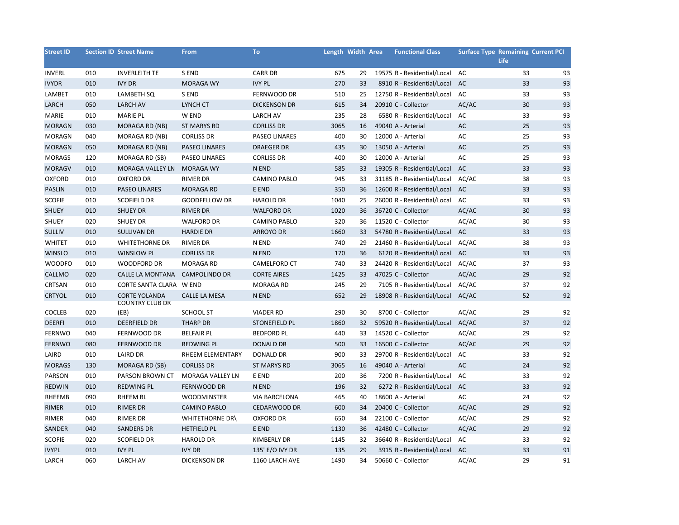| <b>Street ID</b> |     | <b>Section ID Street Name</b>                  | <b>From</b>            | <b>To</b>            |      | Length Width Area | <b>Functional Class</b>     | <b>Surface Type Remaining Current PCI</b> | <b>Life</b> |    |
|------------------|-----|------------------------------------------------|------------------------|----------------------|------|-------------------|-----------------------------|-------------------------------------------|-------------|----|
| <b>INVERL</b>    | 010 | <b>INVERLEITH TE</b>                           | S END                  | <b>CARR DR</b>       | 675  | 29                | 19575 R - Residential/Local | AC                                        | 33          | 93 |
| <b>IVYDR</b>     | 010 | <b>IVY DR</b>                                  | <b>MORAGA WY</b>       | <b>IVY PL</b>        | 270  | 33                | 8910 R - Residential/Local  | AC                                        | 33          | 93 |
| LAMBET           | 010 | LAMBETH SQ                                     | S END                  | FERNWOOD DR          | 510  | 25                | 12750 R - Residential/Local | AC                                        | 33          | 93 |
| LARCH            | 050 | <b>LARCH AV</b>                                | LYNCH CT               | <b>DICKENSON DR</b>  | 615  | 34                | 20910 C - Collector         | AC/AC                                     | 30          | 93 |
| MARIE            | 010 | <b>MARIE PL</b>                                | W END                  | <b>LARCH AV</b>      | 235  | 28                | 6580 R - Residential/Local  | AC                                        | 33          | 93 |
| <b>MORAGN</b>    | 030 | MORAGA RD (NB)                                 | <b>ST MARYS RD</b>     | <b>CORLISS DR</b>    | 3065 | 16                | 49040 A - Arterial          | AC                                        | 25          | 93 |
| <b>MORAGN</b>    | 040 | MORAGA RD (NB)                                 | <b>CORLISS DR</b>      | <b>PASEO LINARES</b> | 400  | 30                | 12000 A - Arterial          | AC                                        | 25          | 93 |
| <b>MORAGN</b>    | 050 | MORAGA RD (NB)                                 | <b>PASEO LINARES</b>   | <b>DRAEGER DR</b>    | 435  | 30                | 13050 A - Arterial          | AC                                        | 25          | 93 |
| <b>MORAGS</b>    | 120 | MORAGA RD (SB)                                 | <b>PASEO LINARES</b>   | <b>CORLISS DR</b>    | 400  | 30                | 12000 A - Arterial          | AC                                        | 25          | 93 |
| <b>MORAGV</b>    | 010 | MORAGA VALLEY LN                               | <b>MORAGA WY</b>       | N END                | 585  | 33                | 19305 R - Residential/Local | AC                                        | 33          | 93 |
| <b>OXFORD</b>    | 010 | <b>OXFORD DR</b>                               | <b>RIMER DR</b>        | <b>CAMINO PABLO</b>  | 945  | 33                | 31185 R - Residential/Local | AC/AC                                     | 38          | 93 |
| <b>PASLIN</b>    | 010 | PASEO LINARES                                  | <b>MORAGA RD</b>       | E END                | 350  | 36                | 12600 R - Residential/Local | AC                                        | 33          | 93 |
| <b>SCOFIE</b>    | 010 | <b>SCOFIELD DR</b>                             | <b>GOODFELLOW DR</b>   | <b>HAROLD DR</b>     | 1040 | 25                | 26000 R - Residential/Local | AC                                        | 33          | 93 |
| <b>SHUEY</b>     | 010 | <b>SHUEY DR</b>                                | <b>RIMER DR</b>        | <b>WALFORD DR</b>    | 1020 | 36                | 36720 C - Collector         | AC/AC                                     | 30          | 93 |
| <b>SHUEY</b>     | 020 | <b>SHUEY DR</b>                                | <b>WALFORD DR</b>      | <b>CAMINO PABLO</b>  | 320  | 36                | 11520 C - Collector         | AC/AC                                     | 30          | 93 |
| <b>SULLIV</b>    | 010 | SULLIVAN DR                                    | <b>HARDIE DR</b>       | <b>ARROYO DR</b>     | 1660 | 33                | 54780 R - Residential/Local | AC                                        | 33          | 93 |
| <b>WHITET</b>    | 010 | <b>WHITETHORNE DR</b>                          | <b>RIMER DR</b>        | N END                | 740  | 29                | 21460 R - Residential/Local | AC/AC                                     | 38          | 93 |
| <b>WINSLO</b>    | 010 | <b>WINSLOW PL</b>                              | <b>CORLISS DR</b>      | N END                | 170  | 36                | 6120 R - Residential/Local  | AC                                        | 33          | 93 |
| <b>WOODFO</b>    | 010 | WOODFORD DR                                    | <b>MORAGA RD</b>       | CAMELFORD CT         | 740  | 33                | 24420 R - Residential/Local | AC/AC                                     | 37          | 93 |
| CALLMO           | 020 | CALLE LA MONTANA                               | <b>CAMPOLINDO DR</b>   | <b>CORTE AIRES</b>   | 1425 | 33                | 47025 C - Collector         | AC/AC                                     | 29          | 92 |
| CRTSAN           | 010 | CORTE SANTA CLARA W END                        |                        | MORAGA RD            | 245  | 29                | 7105 R - Residential/Local  | AC/AC                                     | 37          | 92 |
| <b>CRTYOL</b>    | 010 | <b>CORTE YOLANDA</b><br><b>COUNTRY CLUB DR</b> | <b>CALLE LA MESA</b>   | N END                | 652  | 29                | 18908 R - Residential/Local | AC/AC                                     | 52          | 92 |
| <b>COCLEB</b>    | 020 | (EB)                                           | <b>SCHOOL ST</b>       | <b>VIADER RD</b>     | 290  | 30                | 8700 C - Collector          | AC/AC                                     | 29          | 92 |
| <b>DEERFI</b>    | 010 | <b>DEERFIELD DR</b>                            | <b>THARP DR</b>        | <b>STONEFIELD PL</b> | 1860 | 32                | 59520 R - Residential/Local | AC/AC                                     | 37          | 92 |
| <b>FERNWO</b>    | 040 | FERNWOOD DR                                    | <b>BELFAIR PL</b>      | <b>BEDFORD PL</b>    | 440  | 33                | 14520 C - Collector         | AC/AC                                     | 29          | 92 |
| <b>FERNWO</b>    | 080 | FERNWOOD DR                                    | <b>REDWING PL</b>      | <b>DONALD DR</b>     | 500  | 33                | 16500 C - Collector         | AC/AC                                     | 29          | 92 |
| LAIRD            | 010 | <b>LAIRD DR</b>                                | RHEEM ELEMENTARY       | DONALD DR            | 900  | 33                | 29700 R - Residential/Local | AC                                        | 33          | 92 |
| <b>MORAGS</b>    | 130 | MORAGA RD (SB)                                 | <b>CORLISS DR</b>      | <b>ST MARYS RD</b>   | 3065 | 16                | 49040 A - Arterial          | AC                                        | 24          | 92 |
| PARSON           | 010 | PARSON BROWN CT                                | MORAGA VALLEY LN       | E END                | 200  | 36                | 7200 R - Residential/Local  | AC                                        | 33          | 92 |
| <b>REDWIN</b>    | 010 | <b>REDWING PL</b>                              | <b>FERNWOOD DR</b>     | N END                | 196  | 32                | 6272 R - Residential/Local  | AC                                        | 33          | 92 |
| RHEEMB           | 090 | <b>RHEEM BL</b>                                | <b>WOODMINSTER</b>     | <b>VIA BARCELONA</b> | 465  | 40                | 18600 A - Arterial          | AC                                        | 24          | 92 |
| <b>RIMER</b>     | 010 | <b>RIMER DR</b>                                | <b>CAMINO PABLO</b>    | <b>CEDARWOOD DR</b>  | 600  | 34                | 20400 C - Collector         | AC/AC                                     | 29          | 92 |
| <b>RIMER</b>     | 040 | <b>RIMER DR</b>                                | <b>WHITETHORNE DR\</b> | <b>OXFORD DR</b>     | 650  | 34                | 22100 C - Collector         | AC/AC                                     | 29          | 92 |
| SANDER           | 040 | <b>SANDERS DR</b>                              | <b>HETFIELD PL</b>     | E END                | 1130 | 36                | 42480 C - Collector         | AC/AC                                     | 29          | 92 |
| <b>SCOFIE</b>    | 020 | <b>SCOFIELD DR</b>                             | <b>HAROLD DR</b>       | <b>KIMBERLY DR</b>   | 1145 | 32                | 36640 R - Residential/Local | AC                                        | 33          | 92 |
| <b>IVYPL</b>     | 010 | <b>IVY PL</b>                                  | <b>IVY DR</b>          | 135' E/O IVY DR      | 135  | 29                | 3915 R - Residential/Local  | AC                                        | 33          | 91 |
| LARCH            | 060 | <b>LARCH AV</b>                                | <b>DICKENSON DR</b>    | 1160 LARCH AVE       | 1490 | 34                | 50660 C - Collector         | AC/AC                                     | 29          | 91 |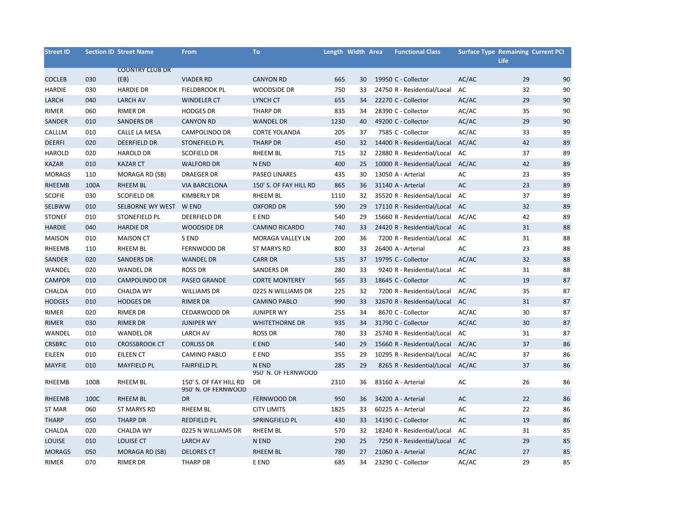| <b>Street ID</b> |      | <b>Section ID Street Name</b> | From                   | <b>To</b>                    | Length Width Area |    | <b>Functional Class</b>          | <b>Surface Type Remaining Current PCI</b> |             |    |
|------------------|------|-------------------------------|------------------------|------------------------------|-------------------|----|----------------------------------|-------------------------------------------|-------------|----|
|                  |      |                               |                        |                              |                   |    |                                  |                                           | <b>Life</b> |    |
|                  |      | <b>COUNTRY CLUB DR</b>        |                        |                              |                   |    |                                  |                                           |             |    |
| <b>COCLEB</b>    | 030  | (EB)                          | <b>VIADER RD</b>       | <b>CANYON RD</b>             | 665               | 30 | 19950 C - Collector              | AC/AC                                     | 29          | 90 |
| <b>HARDIE</b>    | 030  | <b>HARDIE DR</b>              | <b>FIELDBROOK PL</b>   | <b>WOODSIDE DR</b>           | 750               | 33 | 24750 R - Residential/Local      | AC                                        | 32          | 90 |
| LARCH            | 040  | <b>LARCH AV</b>               | <b>WINDELER CT</b>     | LYNCH CT                     | 655               | 34 | 22270 C - Collector              | AC/AC                                     | 29          | 90 |
| RIMER            | 060  | RIMER DR                      | <b>HODGES DR</b>       | THARP DR                     | 835               | 34 | 28390 C - Collector              | AC/AC                                     | 35          | 90 |
| SANDER           | 010  | <b>SANDERS DR</b>             | <b>CANYON RD</b>       | <b>WANDEL DR</b>             | 1230              | 40 | 49200 C - Collector              | AC/AC                                     | 29          | 90 |
| CALLLM           | 010  | CALLE LA MESA                 | <b>CAMPOLINDO DR</b>   | <b>CORTE YOLANDA</b>         | 205               | 37 | 7585 C - Collector               | AC/AC                                     | 33          | 89 |
| <b>DEERFI</b>    | 020  | <b>DEERFIELD DR</b>           | <b>STONEFIELD PL</b>   | <b>THARP DR</b>              | 450               | 32 | 14400 R - Residential/Local      | AC/AC                                     | 42          | 89 |
| <b>HAROLD</b>    | 020  | <b>HAROLD DR</b>              | <b>SCOFIELD DR</b>     | RHEEM BL                     | 715               | 32 | 22880 R - Residential/Local      | AC                                        | 37          | 89 |
| <b>KAZAR</b>     | 010  | <b>KAZAR CT</b>               | <b>WALFORD DR</b>      | N END                        | 400               | 25 | 10000 R - Residential/Local      | AC/AC                                     | 42          | 89 |
| <b>MORAGS</b>    | 110  | MORAGA RD (SB)                | <b>DRAEGER DR</b>      | <b>PASEO LINARES</b>         | 435               | 30 | 13050 A - Arterial               | AC                                        | 23          | 89 |
| RHEEMB           | 100A | <b>RHEEM BL</b>               | <b>VIA BARCELONA</b>   | 150' S. OF FAY HILL RD       | 865               | 36 | 31140 A - Arterial               | AC                                        | 23          | 89 |
| <b>SCOFIE</b>    | 030  | <b>SCOFIELD DR</b>            | <b>KIMBERLY DR</b>     | RHEEM BL                     | 1110              | 32 | 35520 R - Residential/Local      | AC                                        | 37          | 89 |
| SELBWW           | 010  | SELBORNE WY WEST              | W END                  | <b>OXFORD DR</b>             | 590               | 29 | 17110 R - Residential/Local      | AC                                        | 32          | 89 |
| <b>STONEF</b>    | 010  | STONEFIELD PL                 | DEERFIELD DR           | E END                        | 540               | 29 | 15660 R - Residential/Local      | AC/AC                                     | 42          | 89 |
| <b>HARDIE</b>    | 040  | <b>HARDIE DR</b>              | <b>WOODSIDE DR</b>     | <b>CAMINO RICARDO</b>        | 740               | 33 | 24420 R - Residential/Local      | AC                                        | 31          | 88 |
| <b>MAISON</b>    | 010  | <b>MAISON CT</b>              | S END                  | MORAGA VALLEY LN             | 200               | 36 | 7200 R - Residential/Local       | AC                                        | 31          | 88 |
| RHEEMB           | 110  | RHEEM BL                      | FERNWOOD DR            | ST MARYS RD                  | 800               | 33 | 26400 A - Arterial               | AC                                        | 23          | 88 |
| SANDER           | 020  | <b>SANDERS DR</b>             | <b>WANDEL DR</b>       | <b>CARR DR</b>               | 535               | 37 | 19795 C - Collector              | AC/AC                                     | 32          | 88 |
| WANDEL           | 020  | <b>WANDEL DR</b>              | <b>ROSS DR</b>         | <b>SANDERS DR</b>            | 280               | 33 | 9240 R - Residential/Local       | AC                                        | 31          | 88 |
| <b>CAMPDR</b>    | 010  | <b>CAMPOLINDO DR</b>          | PASEO GRANDE           | <b>CORTE MONTEREY</b>        | 565               | 33 | 18645 C - Collector              | AC                                        | 19          | 87 |
| CHALDA           | 010  | <b>CHALDA WY</b>              | <b>WILLIAMS DR</b>     | 0225 N WILLIAMS DR           | 225               | 32 | 7200 R - Residential/Local       | AC/AC                                     | 35          | 87 |
| <b>HODGES</b>    | 010  | <b>HODGES DR</b>              | <b>RIMER DR</b>        | <b>CAMINO PABLO</b>          | 990               | 33 | 32670 R - Residential/Local      | <b>AC</b>                                 | 31          | 87 |
| RIMER            | 020  | <b>RIMER DR</b>               | CEDARWOOD DR           | <b>JUNIPER WY</b>            | 255               | 34 | 8670 C - Collector               | AC/AC                                     | 30          | 87 |
| <b>RIMER</b>     | 030  | <b>RIMER DR</b>               | <b>JUNIPER WY</b>      | <b>WHITETHORNE DR</b>        | 935               | 34 | 31790 C - Collector              | AC/AC                                     | 30          | 87 |
| WANDEL           | 010  | <b>WANDEL DR</b>              | <b>LARCH AV</b>        | <b>ROSS DR</b>               | 780               | 33 | 25740 R - Residential/Local      | AC                                        | 31          | 87 |
| <b>CRSBRC</b>    | 010  | <b>CROSSBROOK CT</b>          | <b>CORLISS DR</b>      | E END                        | 540               | 29 | 15660 R - Residential/Local      | AC/AC                                     | 37          | 86 |
| EILEEN           | 010  | EILEEN CT                     | <b>CAMINO PABLO</b>    | E END                        | 355               | 29 | 10295 R - Residential/Local      | AC/AC                                     | 37          | 86 |
| <b>MAYFIE</b>    | 010  | <b>MAYFIELD PL</b>            | <b>FAIRFIELD PL</b>    | N END<br>950' N. OF FERNWOOD | 285               | 29 | 8265 R - Residential/Local AC/AC |                                           | 37          | 86 |
| RHEEMB           | 100B | RHEEM BL                      | 150' S. OF FAY HILL RD | DR                           | 2310              | 36 | 83160 A - Arterial               | AC                                        | 26          | 86 |
|                  |      |                               | 950' N. OF FERNWOOD    |                              |                   |    |                                  |                                           |             |    |
| RHEEMB           | 100C | <b>RHEEM BL</b>               | DR                     | FERNWOOD DR                  | 950               | 36 | 34200 A - Arterial               | AC                                        | 22          | 86 |
| <b>ST MAR</b>    | 060  | <b>ST MARYS RD</b>            | <b>RHEEM BL</b>        | <b>CITY LIMITS</b>           | 1825              | 33 | 60225 A - Arterial               | AC                                        | 22          | 86 |
| <b>THARP</b>     | 050  | <b>THARP DR</b>               | <b>REDFIELD PL</b>     | SPRINGFIELD PL               | 430               | 33 | 14190 C - Collector              | AC                                        | 19          | 86 |
| CHALDA           | 020  | <b>CHALDA WY</b>              | 0225 N WILLIAMS DR     | RHEEM BL                     | 570               | 32 | 18240 R - Residential/Local      | AC                                        | 31          | 85 |
| LOUISE           | 010  | LOUISE CT                     | <b>LARCH AV</b>        | N END                        | 290               | 25 | 7250 R - Residential/Local       | AC                                        | 29          | 85 |
| <b>MORAGS</b>    | 050  | MORAGA RD (SB)                | <b>DELORES CT</b>      | <b>RHEEM BL</b>              | 780               | 27 | 21060 A - Arterial               | AC/AC                                     | 27          | 85 |
| RIMER            | 070  | <b>RIMER DR</b>               | <b>THARP DR</b>        | E END                        | 685               | 34 | 23290 C - Collector              | AC/AC                                     | 29          | 85 |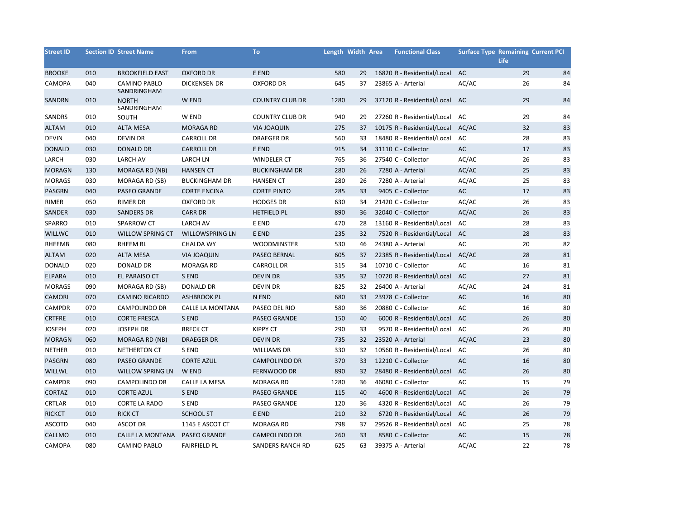| <b>Street ID</b> |     | <b>Section ID Street Name</b>      | <b>From</b>            | <b>To</b>              | Length Width Area |    | <b>Functional Class</b>        | <b>Surface Type Remaining Current PCI</b> | <b>Life</b> |    |
|------------------|-----|------------------------------------|------------------------|------------------------|-------------------|----|--------------------------------|-------------------------------------------|-------------|----|
| <b>BROOKE</b>    | 010 | <b>BROOKFIELD EAST</b>             | <b>OXFORD DR</b>       | E END                  | 580               | 29 | 16820 R - Residential/Local    | AC                                        | 29          | 84 |
| CAMOPA           | 040 | <b>CAMINO PABLO</b><br>SANDRINGHAM | <b>DICKENSEN DR</b>    | <b>OXFORD DR</b>       | 645               | 37 | 23865 A - Arterial             | AC/AC                                     | 26          | 84 |
| SANDRN           | 010 | <b>NORTH</b><br>SANDRINGHAM        | W END                  | <b>COUNTRY CLUB DR</b> | 1280              | 29 | 37120 R - Residential/Local AC |                                           | 29          | 84 |
| SANDRS           | 010 | SOUTH                              | W END                  | <b>COUNTRY CLUB DR</b> | 940               | 29 | 27260 R - Residential/Local    | AC                                        | 29          | 84 |
| <b>ALTAM</b>     | 010 | <b>ALTA MESA</b>                   | <b>MORAGA RD</b>       | <b>VIA JOAQUIN</b>     | 275               | 37 | 10175 R - Residential/Local    | AC/AC                                     | 32          | 83 |
| <b>DEVIN</b>     | 040 | <b>DEVIN DR</b>                    | <b>CARROLL DR</b>      | <b>DRAEGER DR</b>      | 560               | 33 | 18480 R - Residential/Local    | AC                                        | 28          | 83 |
| <b>DONALD</b>    | 030 | <b>DONALD DR</b>                   | <b>CARROLL DR</b>      | E END                  | 915               | 34 | 31110 C - Collector            | AC                                        | 17          | 83 |
| LARCH            | 030 | <b>LARCH AV</b>                    | <b>LARCH LN</b>        | <b>WINDELER CT</b>     | 765               | 36 | 27540 C - Collector            | AC/AC                                     | 26          | 83 |
| <b>MORAGN</b>    | 130 | MORAGA RD (NB)                     | <b>HANSEN CT</b>       | <b>BUCKINGHAM DR</b>   | 280               | 26 | 7280 A - Arterial              | AC/AC                                     | 25          | 83 |
| <b>MORAGS</b>    | 030 | MORAGA RD (SB)                     | <b>BUCKINGHAM DR</b>   | <b>HANSEN CT</b>       | 280               | 26 | 7280 A - Arterial              | AC/AC                                     | 25          | 83 |
| PASGRN           | 040 | <b>PASEO GRANDE</b>                | <b>CORTE ENCINA</b>    | <b>CORTE PINTO</b>     | 285               | 33 | 9405 C - Collector             | AC                                        | 17          | 83 |
| RIMER            | 050 | <b>RIMER DR</b>                    | <b>OXFORD DR</b>       | <b>HODGES DR</b>       | 630               | 34 | 21420 C - Collector            | AC/AC                                     | 26          | 83 |
| SANDER           | 030 | <b>SANDERS DR</b>                  | <b>CARR DR</b>         | <b>HETFIELD PL</b>     | 890               | 36 | 32040 C - Collector            | AC/AC                                     | 26          | 83 |
| SPARRO           | 010 | <b>SPARROW CT</b>                  | <b>LARCH AV</b>        | E END                  | 470               | 28 | 13160 R - Residential/Local    | AC                                        | 28          | 83 |
| <b>WILLWC</b>    | 010 | <b>WILLOW SPRING CT</b>            | <b>WILLOWSPRING LN</b> | E END                  | 235               | 32 | 7520 R - Residential/Local     | AC                                        | 28          | 83 |
| <b>RHEEMB</b>    | 080 | <b>RHEEM BL</b>                    | <b>CHALDA WY</b>       | <b>WOODMINSTER</b>     | 530               | 46 | 24380 A - Arterial             | AC                                        | 20          | 82 |
| <b>ALTAM</b>     | 020 | <b>ALTA MESA</b>                   | <b>VIA JOAQUIN</b>     | PASEO BERNAL           | 605               | 37 | 22385 R - Residential/Local    | AC/AC                                     | 28          | 81 |
| <b>DONALD</b>    | 020 | <b>DONALD DR</b>                   | MORAGA RD              | <b>CARROLL DR</b>      | 315               | 34 | 10710 C - Collector            | AC                                        | 16          | 81 |
| ELPARA           | 010 | EL PARAISO CT                      | S END                  | <b>DEVIN DR</b>        | 335               | 32 | 10720 R - Residential/Local    | AC                                        | 27          | 81 |
| <b>MORAGS</b>    | 090 | MORAGA RD (SB)                     | <b>DONALD DR</b>       | <b>DEVIN DR</b>        | 825               | 32 | 26400 A - Arterial             | AC/AC                                     | 24          | 81 |
| <b>CAMORI</b>    | 070 | <b>CAMINO RICARDO</b>              | <b>ASHBROOK PL</b>     | N END                  | 680               | 33 | 23978 C - Collector            | AC                                        | 16          | 80 |
| CAMPDR           | 070 | <b>CAMPOLINDO DR</b>               | CALLE LA MONTANA       | PASEO DEL RIO          | 580               | 36 | 20880 C - Collector            | AC                                        | 16          | 80 |
| <b>CRTFRE</b>    | 010 | <b>CORTE FRESCA</b>                | S END                  | PASEO GRANDE           | 150               | 40 | 6000 R - Residential/Local     | AC                                        | 26          | 80 |
| <b>JOSEPH</b>    | 020 | <b>JOSEPH DR</b>                   | <b>BRECK CT</b>        | <b>KIPPY CT</b>        | 290               | 33 | 9570 R - Residential/Local     | AC                                        | 26          | 80 |
| <b>MORAGN</b>    | 060 | MORAGA RD (NB)                     | <b>DRAEGER DR</b>      | <b>DEVIN DR</b>        | 735               | 32 | 23520 A - Arterial             | AC/AC                                     | 23          | 80 |
| <b>NETHER</b>    | 010 | <b>NETHERTON CT</b>                | S END                  | <b>WILLIAMS DR</b>     | 330               | 32 | 10560 R - Residential/Local    | AC                                        | 26          | 80 |
| PASGRN           | 080 | <b>PASEO GRANDE</b>                | <b>CORTE AZUL</b>      | <b>CAMPOLINDO DR</b>   | 370               | 33 | 12210 C - Collector            | AC                                        | 16          | 80 |
| <b>WILLWL</b>    | 010 | <b>WILLOW SPRING LN</b>            | W END                  | FERNWOOD DR            | 890               | 32 | 28480 R - Residential/Local    | AC                                        | 26          | 80 |
| CAMPDR           | 090 | CAMPOLINDO DR                      | CALLE LA MESA          | <b>MORAGA RD</b>       | 1280              | 36 | 46080 C - Collector            | AC                                        | 15          | 79 |
| <b>CORTAZ</b>    | 010 | <b>CORTE AZUL</b>                  | S END                  | PASEO GRANDE           | 115               | 40 | 4600 R - Residential/Local     | AC                                        | 26          | 79 |
| CRTLAR           | 010 | <b>CORTE LA RADO</b>               | S END                  | PASEO GRANDE           | 120               | 36 | 4320 R - Residential/Local     | AC                                        | 26          | 79 |
| <b>RICKCT</b>    | 010 | <b>RICK CT</b>                     | <b>SCHOOL ST</b>       | E END                  | 210               | 32 | 6720 R - Residential/Local     | AC                                        | 26          | 79 |
| <b>ASCOTD</b>    | 040 | <b>ASCOT DR</b>                    | 1145 E ASCOT CT        | <b>MORAGA RD</b>       | 798               | 37 | 29526 R - Residential/Local    | AC                                        | 25          | 78 |
| CALLMO           | 010 | CALLE LA MONTANA                   | PASEO GRANDE           | <b>CAMPOLINDO DR</b>   | 260               | 33 | 8580 C - Collector             | AC                                        | 15          | 78 |
| CAMOPA           | 080 | <b>CAMINO PABLO</b>                | <b>FAIRFIELD PL</b>    | SANDERS RANCH RD       | 625               | 63 | 39375 A - Arterial             | AC/AC                                     | 22          | 78 |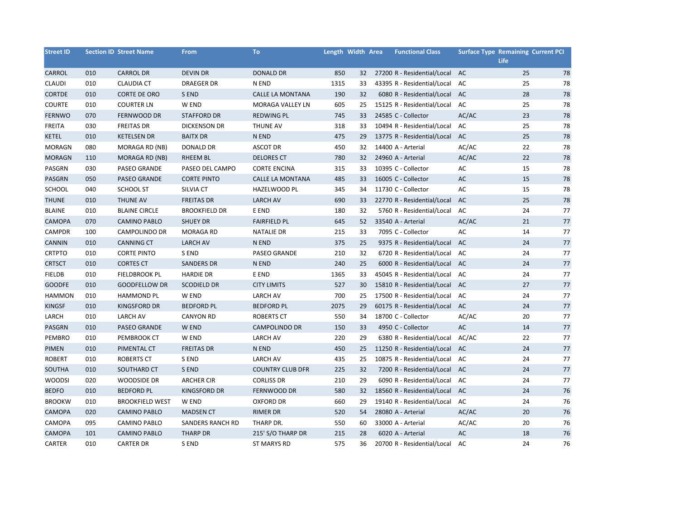| <b>Street ID</b> |     | <b>Section ID Street Name</b> | <b>From</b>          | To                      | Length Width Area |    | <b>Functional Class</b>     | <b>Surface Type Remaining Current PCI</b> | <b>Life</b> |    |
|------------------|-----|-------------------------------|----------------------|-------------------------|-------------------|----|-----------------------------|-------------------------------------------|-------------|----|
| CARROL           | 010 | <b>CARROL DR</b>              | <b>DEVIN DR</b>      | <b>DONALD DR</b>        | 850               | 32 | 27200 R - Residential/Local | AC                                        | 25          | 78 |
| <b>CLAUDI</b>    | 010 | <b>CLAUDIA CT</b>             | <b>DRAEGER DR</b>    | N END                   | 1315              | 33 | 43395 R - Residential/Local | AC                                        | 25          | 78 |
| <b>CORTDE</b>    | 010 | <b>CORTE DE ORO</b>           | S END                | <b>CALLE LA MONTANA</b> | 190               | 32 | 6080 R - Residential/Local  | AC                                        | 28          | 78 |
| <b>COURTE</b>    | 010 | <b>COURTER LN</b>             | W END                | MORAGA VALLEY LN        | 605               | 25 | 15125 R - Residential/Local | AC                                        | 25          | 78 |
| <b>FERNWO</b>    | 070 | FERNWOOD DR                   | <b>STAFFORD DR</b>   | <b>REDWING PL</b>       | 745               | 33 | 24585 C - Collector         | AC/AC                                     | 23          | 78 |
| <b>FREITA</b>    | 030 | <b>FREITAS DR</b>             | <b>DICKENSON DR</b>  | THUNE AV                | 318               | 33 | 10494 R - Residential/Local | AC                                        | 25          | 78 |
| <b>KETEL</b>     | 010 | <b>KETELSEN DR</b>            | <b>BAITX DR</b>      | N END                   | 475               | 29 | 13775 R - Residential/Local | AC                                        | 25          | 78 |
| <b>MORAGN</b>    | 080 | MORAGA RD (NB)                | <b>DONALD DR</b>     | <b>ASCOT DR</b>         | 450               | 32 | 14400 A - Arterial          | AC/AC                                     | 22          | 78 |
| <b>MORAGN</b>    | 110 | <b>MORAGA RD (NB)</b>         | <b>RHEEM BL</b>      | <b>DELORES CT</b>       | 780               | 32 | 24960 A - Arterial          | AC/AC                                     | 22          | 78 |
| PASGRN           | 030 | PASEO GRANDE                  | PASEO DEL CAMPO      | <b>CORTE ENCINA</b>     | 315               | 33 | 10395 C - Collector         | AC                                        | 15          | 78 |
| PASGRN           | 050 | PASEO GRANDE                  | <b>CORTE PINTO</b>   | CALLE LA MONTANA        | 485               | 33 | 16005 C - Collector         | AC                                        | 15          | 78 |
| SCHOOL           | 040 | <b>SCHOOL ST</b>              | SILVIA CT            | HAZELWOOD PL            | 345               | 34 | 11730 C - Collector         | AC                                        | 15          | 78 |
| <b>THUNE</b>     | 010 | <b>THUNE AV</b>               | <b>FREITAS DR</b>    | <b>LARCH AV</b>         | 690               | 33 | 22770 R - Residential/Local | AC                                        | 25          | 78 |
| <b>BLAINE</b>    | 010 | <b>BLAINE CIRCLE</b>          | <b>BROOKFIELD DR</b> | E END                   | 180               | 32 | 5760 R - Residential/Local  | AC                                        | 24          | 77 |
| <b>CAMOPA</b>    | 070 | <b>CAMINO PABLO</b>           | <b>SHUEY DR</b>      | <b>FAIRFIELD PL</b>     | 645               | 52 | 33540 A - Arterial          | AC/AC                                     | 21          | 77 |
| CAMPDR           | 100 | <b>CAMPOLINDO DR</b>          | <b>MORAGA RD</b>     | <b>NATALIE DR</b>       | 215               | 33 | 7095 C - Collector          | AC                                        | 14          | 77 |
| CANNIN           | 010 | <b>CANNING CT</b>             | <b>LARCH AV</b>      | N END                   | 375               | 25 | 9375 R - Residential/Local  | AC                                        | 24          | 77 |
| <b>CRTPTO</b>    | 010 | <b>CORTE PINTO</b>            | S END                | PASEO GRANDE            | 210               | 32 | 6720 R - Residential/Local  | AC                                        | 24          | 77 |
| <b>CRTSCT</b>    | 010 | <b>CORTES CT</b>              | <b>SANDERS DR</b>    | N END                   | 240               | 25 | 6000 R - Residential/Local  | AC                                        | 24          | 77 |
| <b>FIELDB</b>    | 010 | <b>FIELDBROOK PL</b>          | <b>HARDIE DR</b>     | E END                   | 1365              | 33 | 45045 R - Residential/Local | AC                                        | 24          | 77 |
| <b>GOODFE</b>    | 010 | <b>GOODFELLOW DR</b>          | <b>SCODIELD DR</b>   | <b>CITY LIMITS</b>      | 527               | 30 | 15810 R - Residential/Local | AC                                        | 27          | 77 |
| <b>HAMMON</b>    | 010 | <b>HAMMOND PL</b>             | W END                | <b>LARCH AV</b>         | 700               | 25 | 17500 R - Residential/Local | AC                                        | 24          | 77 |
| <b>KINGSF</b>    | 010 | KINGSFORD DR                  | <b>BEDFORD PL</b>    | <b>BEDFORD PL</b>       | 2075              | 29 | 60175 R - Residential/Local | AC                                        | 24          | 77 |
| LARCH            | 010 | <b>LARCH AV</b>               | <b>CANYON RD</b>     | <b>ROBERTS CT</b>       | 550               | 34 | 18700 C - Collector         | AC/AC                                     | 20          | 77 |
| PASGRN           | 010 | <b>PASEO GRANDE</b>           | W END                | <b>CAMPOLINDO DR</b>    | 150               | 33 | 4950 C - Collector          | AC                                        | 14          | 77 |
| PEMBRO           | 010 | PEMBROOK CT                   | W END                | <b>LARCH AV</b>         | 220               | 29 | 6380 R - Residential/Local  | AC/AC                                     | 22          | 77 |
| <b>PIMEN</b>     | 010 | PIMENTAL CT                   | <b>FREITAS DR</b>    | N END                   | 450               | 25 | 11250 R - Residential/Local | AC                                        | 24          | 77 |
| <b>ROBERT</b>    | 010 | <b>ROBERTS CT</b>             | S END                | <b>LARCH AV</b>         | 435               | 25 | 10875 R - Residential/Local | AC                                        | 24          | 77 |
| SOUTHA           | 010 | SOUTHARD CT                   | S END                | <b>COUNTRY CLUB DFR</b> | 225               | 32 | 7200 R - Residential/Local  | AC                                        | 24          | 77 |
| <b>WOODSI</b>    | 020 | WOODSIDE DR                   | <b>ARCHER CIR</b>    | <b>CORLISS DR</b>       | 210               | 29 | 6090 R - Residential/Local  | AC                                        | 24          | 77 |
| <b>BEDFO</b>     | 010 | <b>BEDFORD PL</b>             | <b>KINGSFORD DR</b>  | FERNWOOD DR             | 580               | 32 | 18560 R - Residential/Local | AC                                        | 24          | 76 |
| <b>BROOKW</b>    | 010 | <b>BROOKFIELD WEST</b>        | W END                | <b>OXFORD DR</b>        | 660               | 29 | 19140 R - Residential/Local | AC                                        | 24          | 76 |
| CAMOPA           | 020 | <b>CAMINO PABLO</b>           | <b>MADSEN CT</b>     | <b>RIMER DR</b>         | 520               | 54 | 28080 A - Arterial          | AC/AC                                     | 20          | 76 |
| CAMOPA           | 095 | CAMINO PABLO                  | SANDERS RANCH RD     | THARP DR.               | 550               | 60 | 33000 A - Arterial          | AC/AC                                     | 20          | 76 |
| CAMOPA           | 101 | <b>CAMINO PABLO</b>           | <b>THARP DR</b>      | 215' S/O THARP DR       | 215               | 28 | 6020 A - Arterial           | $\mathsf{AC}$                             | 18          | 76 |
| CARTER           | 010 | <b>CARTER DR</b>              | S END                | <b>ST MARYS RD</b>      | 575               | 36 | 20700 R - Residential/Local | AC                                        | 24          | 76 |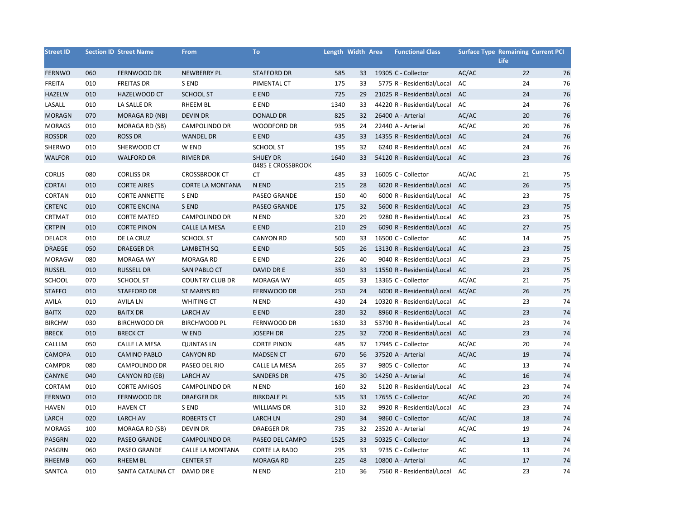| <b>Street ID</b> |     | <b>Section ID Street Name</b> | <b>From</b>             | To                                   | Length Width Area |    | <b>Functional Class</b>       | <b>Surface Type Remaining Current PCI</b> | <b>Life</b> |    |
|------------------|-----|-------------------------------|-------------------------|--------------------------------------|-------------------|----|-------------------------------|-------------------------------------------|-------------|----|
| <b>FERNWO</b>    | 060 | FERNWOOD DR                   | <b>NEWBERRY PL</b>      | <b>STAFFORD DR</b>                   | 585               | 33 | 19305 C - Collector           | AC/AC                                     | 22          | 76 |
| <b>FREITA</b>    | 010 | <b>FREITAS DR</b>             | S END                   | PIMENTAL CT                          | 175               | 33 | 5775 R - Residential/Local    | AC                                        | 24          | 76 |
| <b>HAZELW</b>    | 010 | HAZELWOOD CT                  | <b>SCHOOL ST</b>        | E END                                | 725               | 29 | 21025 R - Residential/Local   | AC                                        | 24          | 76 |
| LASALL           | 010 | LA SALLE DR                   | <b>RHEEM BL</b>         | E END                                | 1340              | 33 | 44220 R - Residential/Local   | AC                                        | 24          | 76 |
| <b>MORAGN</b>    | 070 | MORAGA RD (NB)                | <b>DEVIN DR</b>         | <b>DONALD DR</b>                     | 825               | 32 | 26400 A - Arterial            | AC/AC                                     | 20          | 76 |
| <b>MORAGS</b>    | 010 | MORAGA RD (SB)                | <b>CAMPOLINDO DR</b>    | <b>WOODFORD DR</b>                   | 935               | 24 | 22440 A - Arterial            | AC/AC                                     | 20          | 76 |
| <b>ROSSDR</b>    | 020 | <b>ROSS DR</b>                | <b>WANDEL DR</b>        | E END                                | 435               | 33 | 14355 R - Residential/Local   | AC                                        | 24          | 76 |
| SHERWO           | 010 | SHERWOOD CT                   | W END                   | <b>SCHOOL ST</b>                     | 195               | 32 | 6240 R - Residential/Local    | AC                                        | 24          | 76 |
| <b>WALFOR</b>    | 010 | <b>WALFORD DR</b>             | <b>RIMER DR</b>         | <b>SHUEY DR</b><br>0485 E CROSSBROOK | 1640              | 33 | 54120 R - Residential/Local   | AC                                        | 23          | 76 |
| <b>CORLIS</b>    | 080 | <b>CORLISS DR</b>             | <b>CROSSBROOK CT</b>    | <b>CT</b>                            | 485               | 33 | 16005 C - Collector           | AC/AC                                     | 21          | 75 |
| <b>CORTAI</b>    | 010 | <b>CORTE AIRES</b>            | <b>CORTE LA MONTANA</b> | N END                                | 215               | 28 | 6020 R - Residential/Local    | AC                                        | 26          | 75 |
| CORTAN           | 010 | <b>CORTE ANNETTE</b>          | S END                   | PASEO GRANDE                         | 150               | 40 | 6000 R - Residential/Local    | AC                                        | 23          | 75 |
| <b>CRTENC</b>    | 010 | <b>CORTE ENCINA</b>           | S END                   | <b>PASEO GRANDE</b>                  | 175               | 32 | 5600 R - Residential/Local    | AC                                        | 23          | 75 |
| CRTMAT           | 010 | <b>CORTE MATEO</b>            | CAMPOLINDO DR           | N END                                | 320               | 29 | 9280 R - Residential/Local    | AC                                        | 23          | 75 |
| <b>CRTPIN</b>    | 010 | <b>CORTE PINON</b>            | CALLE LA MESA           | E END                                | 210               | 29 | 6090 R - Residential/Local    | AC                                        | 27          | 75 |
| <b>DELACR</b>    | 010 | DE LA CRUZ                    | <b>SCHOOL ST</b>        | <b>CANYON RD</b>                     | 500               | 33 | 16500 C - Collector           | AC                                        | 14          | 75 |
| <b>DRAEGE</b>    | 050 | <b>DRAEGER DR</b>             | <b>LAMBETH SQ</b>       | E END                                | 505               | 26 | 13130 R - Residential/Local   | AC                                        | 23          | 75 |
| <b>MORAGW</b>    | 080 | <b>MORAGA WY</b>              | <b>MORAGA RD</b>        | E END                                | 226               | 40 | 9040 R - Residential/Local    | AC                                        | 23          | 75 |
| <b>RUSSEL</b>    | 010 | <b>RUSSELL DR</b>             | <b>SAN PABLO CT</b>     | DAVID DR E                           | 350               | 33 | 11550 R - Residential/Local   | AC                                        | 23          | 75 |
| SCHOOL           | 070 | SCHOOL ST                     | <b>COUNTRY CLUB DR</b>  | <b>MORAGA WY</b>                     | 405               | 33 | 13365 C - Collector           | AC/AC                                     | 21          | 75 |
| <b>STAFFO</b>    | 010 | <b>STAFFORD DR</b>            | <b>ST MARYS RD</b>      | <b>FERNWOOD DR</b>                   | 250               | 24 | 6000 R - Residential/Local    | AC/AC                                     | 26          | 75 |
| <b>AVILA</b>     | 010 | <b>AVILA LN</b>               | <b>WHITING CT</b>       | N END                                | 430               | 24 | 10320 R - Residential/Local   | AC                                        | 23          | 74 |
| <b>BAITX</b>     | 020 | <b>BAITX DR</b>               | <b>LARCH AV</b>         | E END                                | 280               | 32 | 8960 R - Residential/Local    | AC                                        | 23          | 74 |
| <b>BIRCHW</b>    | 030 | <b>BIRCHWOOD DR</b>           | <b>BIRCHWOOD PL</b>     | FERNWOOD DR                          | 1630              | 33 | 53790 R - Residential/Local   | AC                                        | 23          | 74 |
| <b>BRECK</b>     | 010 | <b>BRECK CT</b>               | W END                   | <b>JOSEPH DR</b>                     | 225               | 32 | 7200 R - Residential/Local AC |                                           | 23          | 74 |
| CALLLM           | 050 | CALLE LA MESA                 | <b>QUINTAS LN</b>       | <b>CORTE PINON</b>                   | 485               | 37 | 17945 C - Collector           | AC/AC                                     | 20          | 74 |
| <b>CAMOPA</b>    | 010 | <b>CAMINO PABLO</b>           | <b>CANYON RD</b>        | <b>MADSEN CT</b>                     | 670               | 56 | 37520 A - Arterial            | AC/AC                                     | 19          | 74 |
| CAMPDR           | 080 | <b>CAMPOLINDO DR</b>          | PASEO DEL RIO           | CALLE LA MESA                        | 265               | 37 | 9805 C - Collector            | AC                                        | 13          | 74 |
| CANYNE           | 040 | CANYON RD (EB)                | <b>LARCH AV</b>         | <b>SANDERS DR</b>                    | 475               | 30 | 14250 A - Arterial            | AC                                        | 16          | 74 |
| CORTAM           | 010 | <b>CORTE AMIGOS</b>           | CAMPOLINDO DR           | N END                                | 160               | 32 | 5120 R - Residential/Local    | AC                                        | 23          | 74 |
| <b>FERNWO</b>    | 010 | FERNWOOD DR                   | <b>DRAEGER DR</b>       | <b>BIRKDALE PL</b>                   | 535               | 33 | 17655 C - Collector           | AC/AC                                     | 20          | 74 |
| <b>HAVEN</b>     | 010 | <b>HAVEN CT</b>               | S END                   | <b>WILLIAMS DR</b>                   | 310               | 32 | 9920 R - Residential/Local    | AC                                        | 23          | 74 |
| LARCH            | 020 | <b>LARCH AV</b>               | <b>ROBERTS CT</b>       | <b>LARCH LN</b>                      | 290               | 34 | 9860 C - Collector            | AC/AC                                     | 18          | 74 |
| <b>MORAGS</b>    | 100 | MORAGA RD (SB)                | <b>DEVIN DR</b>         | <b>DRAEGER DR</b>                    | 735               | 32 | 23520 A - Arterial            | AC/AC                                     | 19          | 74 |
| PASGRN           | 020 | <b>PASEO GRANDE</b>           | <b>CAMPOLINDO DR</b>    | PASEO DEL CAMPO                      | 1525              | 33 | 50325 C - Collector           | AC                                        | 13          | 74 |
| PASGRN           | 060 | <b>PASEO GRANDE</b>           | CALLE LA MONTANA        | <b>CORTE LA RADO</b>                 | 295               | 33 | 9735 C - Collector            | AC                                        | 13          | 74 |
| RHEEMB           | 060 | <b>RHEEM BL</b>               | <b>CENTER ST</b>        | <b>MORAGA RD</b>                     | 225               | 48 | 10800 A - Arterial            | AC                                        | 17          | 74 |
| SANTCA           | 010 | SANTA CATALINA CT             | DAVID DR E              | N END                                | 210               | 36 | 7560 R - Residential/Local    | AC                                        | 23          | 74 |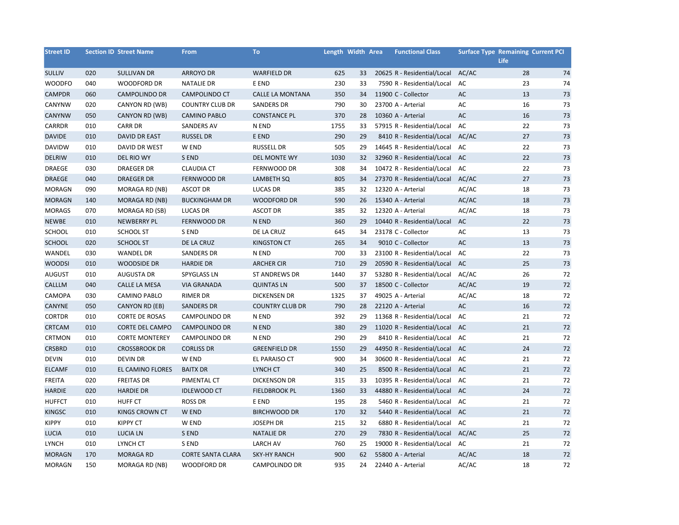| <b>Street ID</b> |     | <b>Section ID Street Name</b> | <b>From</b>              | To                     | Length Width Area |    | <b>Functional Class</b>     | <b>Surface Type Remaining Current PCI</b> | <b>Life</b> |        |
|------------------|-----|-------------------------------|--------------------------|------------------------|-------------------|----|-----------------------------|-------------------------------------------|-------------|--------|
| <b>SULLIV</b>    | 020 | <b>SULLIVAN DR</b>            | <b>ARROYO DR</b>         | <b>WARFIELD DR</b>     | 625               | 33 | 20625 R - Residential/Local | AC/AC                                     | 28          | 74     |
| <b>WOODFO</b>    | 040 | <b>WOODFORD DR</b>            | <b>NATALIE DR</b>        | E END                  | 230               | 33 | 7590 R - Residential/Local  | AC                                        | 23          | 74     |
| <b>CAMPDR</b>    | 060 | <b>CAMPOLINDO DR</b>          | <b>CAMPOLINDO CT</b>     | CALLE LA MONTANA       | 350               | 34 | 11900 C - Collector         | AC                                        | 13          | 73     |
| CANYNW           | 020 | CANYON RD (WB)                | <b>COUNTRY CLUB DR</b>   | <b>SANDERS DR</b>      | 790               | 30 | 23700 A - Arterial          | AC                                        | 16          | 73     |
| <b>CANYNW</b>    | 050 | CANYON RD (WB)                | <b>CAMINO PABLO</b>      | <b>CONSTANCE PL</b>    | 370               | 28 | 10360 A - Arterial          | AC                                        | 16          | 73     |
| CARRDR           | 010 | <b>CARR DR</b>                | <b>SANDERS AV</b>        | N END                  | 1755              | 33 | 57915 R - Residential/Local | AC                                        | 22          | 73     |
| <b>DAVIDE</b>    | 010 | <b>DAVID DR EAST</b>          | <b>RUSSEL DR</b>         | E END                  | 290               | 29 | 8410 R - Residential/Local  | AC/AC                                     | 27          | 73     |
| <b>DAVIDW</b>    | 010 | DAVID DR WEST                 | W END                    | <b>RUSSELL DR</b>      | 505               | 29 | 14645 R - Residential/Local | AC                                        | 22          | 73     |
| DELRIW           | 010 | DEL RIO WY                    | S END                    | DEL MONTE WY           | 1030              | 32 | 32960 R - Residential/Local | AC                                        | 22          | 73     |
| DRAEGE           | 030 | <b>DRAEGER DR</b>             | <b>CLAUDIA CT</b>        | FERNWOOD DR            | 308               | 34 | 10472 R - Residential/Local | AC                                        | 22          | 73     |
| <b>DRAEGE</b>    | 040 | <b>DRAEGER DR</b>             | FERNWOOD DR              | <b>LAMBETH SQ</b>      | 805               | 34 | 27370 R - Residential/Local | AC/AC                                     | 27          | 73     |
| <b>MORAGN</b>    | 090 | MORAGA RD (NB)                | <b>ASCOT DR</b>          | <b>LUCAS DR</b>        | 385               | 32 | 12320 A - Arterial          | AC/AC                                     | 18          | 73     |
| <b>MORAGN</b>    | 140 | MORAGA RD (NB)                | <b>BUCKINGHAM DR</b>     | <b>WOODFORD DR</b>     | 590               | 26 | 15340 A - Arterial          | AC/AC                                     | 18          | 73     |
| <b>MORAGS</b>    | 070 | MORAGA RD (SB)                | <b>LUCAS DR</b>          | <b>ASCOT DR</b>        | 385               | 32 | 12320 A - Arterial          | AC/AC                                     | 18          | 73     |
| NEWBE            | 010 | <b>NEWBERRY PL</b>            | FERNWOOD DR              | N END                  | 360               | 29 | 10440 R - Residential/Local | AC                                        | 22          | 73     |
| <b>SCHOOL</b>    | 010 | SCHOOL ST                     | S END                    | DE LA CRUZ             | 645               | 34 | 23178 C - Collector         | AC                                        | 13          | 73     |
| SCHOOL           | 020 | <b>SCHOOL ST</b>              | DE LA CRUZ               | <b>KINGSTON CT</b>     | 265               | 34 | 9010 C - Collector          | AC                                        | 13          | 73     |
| WANDEL           | 030 | <b>WANDEL DR</b>              | <b>SANDERS DR</b>        | N END                  | 700               | 33 | 23100 R - Residential/Local | AC                                        | 22          | 73     |
| <b>WOODSI</b>    | 010 | <b>WOODSIDE DR</b>            | <b>HARDIE DR</b>         | <b>ARCHER CIR</b>      | 710               | 29 | 20590 R - Residential/Local | AC                                        | 25          | 73     |
| <b>AUGUST</b>    | 010 | <b>AUGUSTA DR</b>             | <b>SPYGLASS LN</b>       | ST ANDREWS DR          | 1440              | 37 | 53280 R - Residential/Local | AC/AC                                     | 26          | 72     |
| CALLLM           | 040 | CALLE LA MESA                 | <b>VIA GRANADA</b>       | <b>QUINTAS LN</b>      | 500               | 37 | 18500 C - Collector         | AC/AC                                     | 19          | 72     |
| CAMOPA           | 030 | <b>CAMINO PABLO</b>           | <b>RIMER DR</b>          | <b>DICKENSEN DR</b>    | 1325              | 37 | 49025 A - Arterial          | AC/AC                                     | 18          | 72     |
| CANYNE           | 050 | CANYON RD (EB)                | <b>SANDERS DR</b>        | <b>COUNTRY CLUB DR</b> | 790               | 28 | 22120 A - Arterial          | AC                                        | 16          | 72     |
| <b>CORTDR</b>    | 010 | <b>CORTE DE ROSAS</b>         | CAMPOLINDO DR            | N END                  | 392               | 29 | 11368 R - Residential/Local | AC                                        | 21          | 72     |
| CRTCAM           | 010 | <b>CORTE DEL CAMPO</b>        | CAMPOLINDO DR            | N END                  | 380               | 29 | 11020 R - Residential/Local | AC                                        | 21          | $72\,$ |
| <b>CRTMON</b>    | 010 | <b>CORTE MONTEREY</b>         | CAMPOLINDO DR            | N END                  | 290               | 29 | 8410 R - Residential/Local  | AC                                        | 21          | 72     |
| <b>CRSBRD</b>    | 010 | <b>CROSSBROOK DR</b>          | <b>CORLISS DR</b>        | <b>GREENFIELD DR</b>   | 1550              | 29 | 44950 R - Residential/Local | AC                                        | 24          | 72     |
| <b>DEVIN</b>     | 010 | <b>DEVIN DR</b>               | W END                    | EL PARAISO CT          | 900               | 34 | 30600 R - Residential/Local | AC                                        | 21          | 72     |
| <b>ELCAMF</b>    | 010 | EL CAMINO FLORES              | <b>BAITX DR</b>          | LYNCH CT               | 340               | 25 | 8500 R - Residential/Local  | AC                                        | 21          | 72     |
| <b>FREITA</b>    | 020 | <b>FREITAS DR</b>             | PIMENTAL CT              | <b>DICKENSON DR</b>    | 315               | 33 | 10395 R - Residential/Local | AC                                        | 21          | 72     |
| <b>HARDIE</b>    | 020 | <b>HARDIE DR</b>              | <b>IDLEWOOD CT</b>       | <b>FIELDBROOK PL</b>   | 1360              | 33 | 44880 R - Residential/Local | AC                                        | 24          | 72     |
| <b>HUFFCT</b>    | 010 | <b>HUFF CT</b>                | <b>ROSS DR</b>           | E END                  | 195               | 28 | 5460 R - Residential/Local  | AC                                        | 21          | 72     |
| <b>KINGSC</b>    | 010 | <b>KINGS CROWN CT</b>         | W END                    | <b>BIRCHWOOD DR</b>    | 170               | 32 | 5440 R - Residential/Local  | AC                                        | 21          | 72     |
| <b>KIPPY</b>     | 010 | <b>KIPPY CT</b>               | W END                    | <b>JOSEPH DR</b>       | 215               | 32 | 6880 R - Residential/Local  | AC                                        | 21          | 72     |
| <b>LUCIA</b>     | 010 | <b>LUCIA LN</b>               | S END                    | <b>NATALIE DR</b>      | 270               | 29 | 7830 R - Residential/Local  | AC/AC                                     | 25          | 72     |
| <b>LYNCH</b>     | 010 | LYNCH CT                      | S END                    | <b>LARCH AV</b>        | 760               | 25 | 19000 R - Residential/Local | AC                                        | 21          | 72     |
| <b>MORAGN</b>    | 170 | <b>MORAGA RD</b>              | <b>CORTE SANTA CLARA</b> | <b>SKY-HY RANCH</b>    | 900               | 62 | 55800 A - Arterial          | AC/AC                                     | 18          | 72     |
| <b>MORAGN</b>    | 150 | MORAGA RD (NB)                | <b>WOODFORD DR</b>       | <b>CAMPOLINDO DR</b>   | 935               | 24 | 22440 A - Arterial          | AC/AC                                     | 18          | 72     |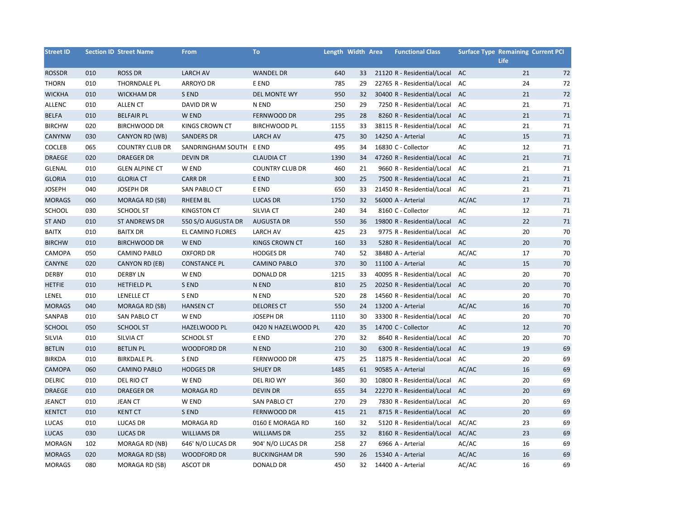| <b>Street ID</b> |     | <b>Section ID Street Name</b> | <b>From</b>             | To                     | Length Width Area |    | <b>Functional Class</b>     | <b>Surface Type Remaining Current PCI</b> | <b>Life</b> |    |
|------------------|-----|-------------------------------|-------------------------|------------------------|-------------------|----|-----------------------------|-------------------------------------------|-------------|----|
| <b>ROSSDR</b>    | 010 | <b>ROSS DR</b>                | <b>LARCH AV</b>         | <b>WANDEL DR</b>       | 640               | 33 | 21120 R - Residential/Local | AC                                        | 21          | 72 |
| <b>THORN</b>     | 010 | <b>THORNDALE PL</b>           | <b>ARROYO DR</b>        | E END                  | 785               | 29 | 22765 R - Residential/Local | AC                                        | 24          | 72 |
| <b>WICKHA</b>    | 010 | <b>WICKHAM DR</b>             | S END                   | <b>DEL MONTE WY</b>    | 950               | 32 | 30400 R - Residential/Local | AC                                        | 21          | 72 |
| <b>ALLENC</b>    | 010 | <b>ALLEN CT</b>               | DAVID DR W              | N END                  | 250               | 29 | 7250 R - Residential/Local  | AC                                        | 21          | 71 |
| <b>BELFA</b>     | 010 | <b>BELFAIR PL</b>             | W END                   | <b>FERNWOOD DR</b>     | 295               | 28 | 8260 R - Residential/Local  | AC                                        | 21          | 71 |
| <b>BIRCHW</b>    | 020 | <b>BIRCHWOOD DR</b>           | KINGS CROWN CT          | <b>BIRCHWOOD PL</b>    | 1155              | 33 | 38115 R - Residential/Local | AC                                        | 21          | 71 |
| CANYNW           | 030 | CANYON RD (WB)                | <b>SANDERS DR</b>       | <b>LARCH AV</b>        | 475               | 30 | 14250 A - Arterial          | AC                                        | 15          | 71 |
| <b>COCLEB</b>    | 065 | <b>COUNTRY CLUB DR</b>        | SANDRINGHAM SOUTH E END |                        | 495               | 34 | 16830 C - Collector         | AC                                        | 12          | 71 |
| <b>DRAEGE</b>    | 020 | <b>DRAEGER DR</b>             | <b>DEVIN DR</b>         | <b>CLAUDIA CT</b>      | 1390              | 34 | 47260 R - Residential/Local | AC                                        | 21          | 71 |
| <b>GLENAL</b>    | 010 | <b>GLEN ALPINE CT</b>         | W END                   | <b>COUNTRY CLUB DR</b> | 460               | 21 | 9660 R - Residential/Local  | AC                                        | 21          | 71 |
| <b>GLORIA</b>    | 010 | <b>GLORIA CT</b>              | <b>CARR DR</b>          | E END                  | 300               | 25 | 7500 R - Residential/Local  | AC                                        | 21          | 71 |
| <b>JOSEPH</b>    | 040 | <b>JOSEPH DR</b>              | SAN PABLO CT            | E END                  | 650               | 33 | 21450 R - Residential/Local | AC                                        | 21          | 71 |
| <b>MORAGS</b>    | 060 | <b>MORAGA RD (SB)</b>         | <b>RHEEM BL</b>         | <b>LUCAS DR</b>        | 1750              | 32 | 56000 A - Arterial          | AC/AC                                     | 17          | 71 |
| SCHOOL           | 030 | SCHOOL ST                     | <b>KINGSTON CT</b>      | SILVIA CT              | 240               | 34 | 8160 C - Collector          | AC                                        | 12          | 71 |
| <b>ST AND</b>    | 010 | <b>ST ANDREWS DR</b>          | 550 S/O AUGUSTA DR      | <b>AUGUSTA DR</b>      | 550               | 36 | 19800 R - Residential/Local | AC                                        | 22          | 71 |
| <b>BAITX</b>     | 010 | <b>BAITX DR</b>               | EL CAMINO FLORES        | <b>LARCH AV</b>        | 425               | 23 | 9775 R - Residential/Local  | AC                                        | 20          | 70 |
| <b>BIRCHW</b>    | 010 | <b>BIRCHWOOD DR</b>           | W END                   | <b>KINGS CROWN CT</b>  | 160               | 33 | 5280 R - Residential/Local  | AC                                        | 20          | 70 |
| CAMOPA           | 050 | <b>CAMINO PABLO</b>           | <b>OXFORD DR</b>        | <b>HODGES DR</b>       | 740               | 52 | 38480 A - Arterial          | AC/AC                                     | 17          | 70 |
| CANYNE           | 020 | CANYON RD (EB)                | <b>CONSTANCE PL</b>     | <b>CAMINO PABLO</b>    | 370               | 30 | 11100 A - Arterial          | AC                                        | 15          | 70 |
| <b>DERBY</b>     | 010 | <b>DERBY LN</b>               | W END                   | <b>DONALD DR</b>       | 1215              | 33 | 40095 R - Residential/Local | AC                                        | 20          | 70 |
| <b>HETFIE</b>    | 010 | <b>HETFIELD PL</b>            | S END                   | N END                  | 810               | 25 | 20250 R - Residential/Local | AC                                        | 20          | 70 |
| LENEL            | 010 | LENELLE CT                    | S END                   | N END                  | 520               | 28 | 14560 R - Residential/Local | AC                                        | 20          | 70 |
| <b>MORAGS</b>    | 040 | MORAGA RD (SB)                | <b>HANSEN CT</b>        | <b>DELORES CT</b>      | 550               | 24 | 13200 A - Arterial          | AC/AC                                     | 16          | 70 |
| SANPAB           | 010 | SAN PABLO CT                  | W END                   | <b>JOSEPH DR</b>       | 1110              | 30 | 33300 R - Residential/Local | AC                                        | 20          | 70 |
| SCHOOL           | 050 | <b>SCHOOL ST</b>              | HAZELWOOD PL            | 0420 N HAZELWOOD PL    | 420               | 35 | 14700 C - Collector         | AC                                        | 12          | 70 |
| SILVIA           | 010 | SILVIA CT                     | <b>SCHOOL ST</b>        | E END                  | 270               | 32 | 8640 R - Residential/Local  | AC                                        | 20          | 70 |
| <b>BETLIN</b>    | 010 | <b>BETLIN PL</b>              | <b>WOODFORD DR</b>      | N END                  | 210               | 30 | 6300 R - Residential/Local  | AC                                        | 19          | 69 |
| <b>BIRKDA</b>    | 010 | <b>BIRKDALE PL</b>            | S END                   | FERNWOOD DR            | 475               | 25 | 11875 R - Residential/Local | AC                                        | 20          | 69 |
| <b>CAMOPA</b>    | 060 | <b>CAMINO PABLO</b>           | <b>HODGES DR</b>        | <b>SHUEY DR</b>        | 1485              | 61 | 90585 A - Arterial          | AC/AC                                     | 16          | 69 |
| <b>DELRIC</b>    | 010 | DEL RIO CT                    | W END                   | DEL RIO WY             | 360               | 30 | 10800 R - Residential/Local | AC                                        | 20          | 69 |
| <b>DRAEGE</b>    | 010 | <b>DRAEGER DR</b>             | <b>MORAGA RD</b>        | <b>DEVIN DR</b>        | 655               | 34 | 22270 R - Residential/Local | AC                                        | 20          | 69 |
| <b>JEANCT</b>    | 010 | <b>JEAN CT</b>                | W END                   | SAN PABLO CT           | 270               | 29 | 7830 R - Residential/Local  | AC                                        | 20          | 69 |
| <b>KENTCT</b>    | 010 | <b>KENT CT</b>                | S END                   | FERNWOOD DR            | 415               | 21 | 8715 R - Residential/Local  | AC                                        | 20          | 69 |
| LUCAS            | 010 | <b>LUCAS DR</b>               | <b>MORAGA RD</b>        | 0160 E MORAGA RD       | 160               | 32 | 5120 R - Residential/Local  | AC/AC                                     | 23          | 69 |
| <b>LUCAS</b>     | 030 | <b>LUCAS DR</b>               | <b>WILLIAMS DR</b>      | <b>WILLIAMS DR</b>     | 255               | 32 | 8160 R - Residential/Local  | AC/AC                                     | 23          | 69 |
| <b>MORAGN</b>    | 102 | MORAGA RD (NB)                | 646' N/O LUCAS DR       | 904' N/O LUCAS DR      | 258               | 27 | 6966 A - Arterial           | AC/AC                                     | 16          | 69 |
| <b>MORAGS</b>    | 020 | MORAGA RD (SB)                | <b>WOODFORD DR</b>      | <b>BUCKINGHAM DR</b>   | 590               | 26 | 15340 A - Arterial          | AC/AC                                     | 16          | 69 |
| <b>MORAGS</b>    | 080 | MORAGA RD (SB)                | <b>ASCOT DR</b>         | <b>DONALD DR</b>       | 450               | 32 | 14400 A - Arterial          | AC/AC                                     | 16          | 69 |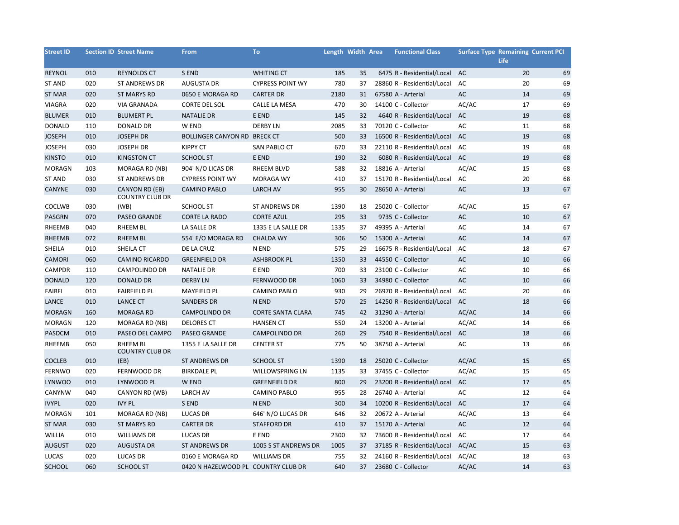| <b>Street ID</b> |            | <b>Section ID Street Name</b>  | <b>From</b>                         | To                       | Length Width Area |    | <b>Functional Class</b>     | <b>Surface Type Remaining Current PCI</b> | <b>Life</b> |    |
|------------------|------------|--------------------------------|-------------------------------------|--------------------------|-------------------|----|-----------------------------|-------------------------------------------|-------------|----|
| <b>REYNOL</b>    | 010        | <b>REYNOLDS CT</b>             | S END                               | <b>WHITING CT</b>        | 185               | 35 | 6475 R - Residential/Local  | AC                                        | 20          | 69 |
| <b>ST AND</b>    | 020        | <b>ST ANDREWS DR</b>           | <b>AUGUSTA DR</b>                   | <b>CYPRESS POINT WY</b>  | 780               | 37 | 28860 R - Residential/Local | AC                                        | 20          | 69 |
| ST MAR           | 020        | <b>ST MARYS RD</b>             | 0650 E MORAGA RD                    | <b>CARTER DR</b>         | 2180              | 31 | 67580 A - Arterial          | AC                                        | 14          | 69 |
| <b>VIAGRA</b>    | 020        | <b>VIA GRANADA</b>             | <b>CORTE DEL SOL</b>                | CALLE LA MESA            | 470               | 30 | 14100 C - Collector         | AC/AC                                     | 17          | 69 |
| <b>BLUMER</b>    | 010        | <b>BLUMERT PL</b>              | <b>NATALIE DR</b>                   | E END                    | 145               | 32 | 4640 R - Residential/Local  | AC                                        | 19          | 68 |
| <b>DONALD</b>    | 110        | <b>DONALD DR</b>               | W END                               | <b>DERBY LN</b>          | 2085              | 33 | 70120 C - Collector         | AC                                        | 11          | 68 |
| <b>JOSEPH</b>    | 010        | <b>JOSEPH DR</b>               | BOLLINGER CANYON RD BRECK CT        |                          | 500               | 33 | 16500 R - Residential/Local | AC                                        | 19          | 68 |
| <b>JOSEPH</b>    | 030        | <b>JOSEPH DR</b>               | <b>KIPPY CT</b>                     | SAN PABLO CT             | 670               | 33 | 22110 R - Residential/Local | AC                                        | 19          | 68 |
| <b>KINSTO</b>    | 010        | <b>KINGSTON CT</b>             | <b>SCHOOL ST</b>                    | E END                    | 190               | 32 | 6080 R - Residential/Local  | <b>AC</b>                                 | 19          | 68 |
| <b>MORAGN</b>    | 103        | MORAGA RD (NB)                 | 904' N/O LICAS DR                   | <b>RHEEM BLVD</b>        | 588               | 32 | 18816 A - Arterial          | AC/AC                                     | 15          | 68 |
| <b>ST AND</b>    | 030        | <b>ST ANDREWS DR</b>           | <b>CYPRESS POINT WY</b>             | <b>MORAGA WY</b>         | 410               | 37 | 15170 R - Residential/Local | AC                                        | 20          | 68 |
| CANYNE           | 030        | CANYON RD (EB)                 | <b>CAMINO PABLO</b>                 | <b>LARCH AV</b>          | 955               | 30 | 28650 A - Arterial          | AC                                        | 13          | 67 |
|                  |            | <b>COUNTRY CLUB DR</b><br>(WB) | SCHOOL ST                           | <b>ST ANDREWS DR</b>     | 1390              | 18 | 25020 C - Collector         | AC/AC                                     | 15          | 67 |
| COCLWB<br>PASGRN | 030<br>070 | <b>PASEO GRANDE</b>            | <b>CORTE LA RADO</b>                | <b>CORTE AZUL</b>        | 295               | 33 | 9735 C - Collector          | AC                                        | 10          | 67 |
| RHEEMB           | 040        | <b>RHEEM BL</b>                | LA SALLE DR                         | 1335 E LA SALLE DR       | 1335              | 37 | 49395 A - Arterial          | AC                                        | 14          | 67 |
| <b>RHEEMB</b>    | 072        | <b>RHEEM BL</b>                | 554' E/O MORAGA RD                  | <b>CHALDA WY</b>         | 306               | 50 | 15300 A - Arterial          | AC                                        | 14          | 67 |
| SHEILA           | 010        | SHEILA CT                      | DE LA CRUZ                          | N END                    | 575               | 29 | 16675 R - Residential/Local | AC                                        | 18          | 67 |
| <b>CAMORI</b>    | 060        | <b>CAMINO RICARDO</b>          | <b>GREENFIELD DR</b>                | <b>ASHBROOK PL</b>       | 1350              | 33 | 44550 C - Collector         | AC                                        | 10          | 66 |
| CAMPDR           | 110        | <b>CAMPOLINDO DR</b>           | <b>NATALIE DR</b>                   | E END                    | 700               | 33 | 23100 C - Collector         | AC                                        | 10          | 66 |
| <b>DONALD</b>    | 120        | <b>DONALD DR</b>               | <b>DERBY LN</b>                     | FERNWOOD DR              | 1060              | 33 | 34980 C - Collector         | AC                                        | 10          | 66 |
| <b>FAIRFI</b>    | 010        | <b>FAIRFIELD PL</b>            | <b>MAYFIELD PL</b>                  | <b>CAMINO PABLO</b>      | 930               | 29 | 26970 R - Residential/Local | AC                                        | 20          | 66 |
| LANCE            | 010        | <b>LANCE CT</b>                | <b>SANDERS DR</b>                   | N END                    | 570               | 25 | 14250 R - Residential/Local | AC                                        | 18          | 66 |
| <b>MORAGN</b>    | 160        | <b>MORAGA RD</b>               | <b>CAMPOLINDO DR</b>                | <b>CORTE SANTA CLARA</b> | 745               | 42 | 31290 A - Arterial          | AC/AC                                     | 14          | 66 |
| <b>MORAGN</b>    | 120        | MORAGA RD (NB)                 | <b>DELORES CT</b>                   | <b>HANSEN CT</b>         | 550               | 24 | 13200 A - Arterial          | AC/AC                                     | 14          | 66 |
| PASDCM           | 010        | PASEO DEL CAMPO                | <b>PASEO GRANDE</b>                 | <b>CAMPOLINDO DR</b>     | 260               | 29 | 7540 R - Residential/Local  | AC                                        | 18          | 66 |
| RHEEMB           | 050        | RHEEM BL                       | 1355 E LA SALLE DR                  | <b>CENTER ST</b>         | 775               | 50 | 38750 A - Arterial          | AC                                        | 13          | 66 |
|                  |            | <b>COUNTRY CLUB DR</b>         |                                     |                          |                   |    |                             |                                           |             |    |
| <b>COCLEB</b>    | 010        | (EB)                           | <b>ST ANDREWS DR</b>                | <b>SCHOOL ST</b>         | 1390              | 18 | 25020 C - Collector         | AC/AC                                     | 15          | 65 |
| <b>FERNWO</b>    | 020        | FERNWOOD DR                    | <b>BIRKDALE PL</b>                  | WILLOWSPRING LN          | 1135              | 33 | 37455 C - Collector         | AC/AC                                     | 15          | 65 |
| <b>LYNWOO</b>    | 010        | LYNWOOD PL                     | W END                               | <b>GREENFIELD DR</b>     | 800               | 29 | 23200 R - Residential/Local | AC                                        | 17          | 65 |
| CANYNW           | 040        | CANYON RD (WB)                 | <b>LARCH AV</b>                     | <b>CAMINO PABLO</b>      | 955               | 28 | 26740 A - Arterial          | AC                                        | 12          | 64 |
| <b>IVYPL</b>     | 020        | <b>IVY PL</b>                  | S END                               | N END                    | 300               | 34 | 10200 R - Residential/Local | AC                                        | 17          | 64 |
| <b>MORAGN</b>    | 101        | MORAGA RD (NB)                 | <b>LUCAS DR</b>                     | 646' N/O LUCAS DR        | 646               | 32 | 20672 A - Arterial          | AC/AC                                     | 13          | 64 |
| <b>ST MAR</b>    | 030        | <b>ST MARYS RD</b>             | <b>CARTER DR</b>                    | <b>STAFFORD DR</b>       | 410               | 37 | 15170 A - Arterial          | AC                                        | 12          | 64 |
| WILLIA           | 010        | <b>WILLIAMS DR</b>             | <b>LUCAS DR</b>                     | E END                    | 2300              | 32 | 73600 R - Residential/Local | AC                                        | 17          | 64 |
| <b>AUGUST</b>    | 020        | <b>AUGUSTA DR</b>              | <b>ST ANDREWS DR</b>                | 1005 S ST ANDREWS DR     | 1005              | 37 | 37185 R - Residential/Local | AC/AC                                     | 15          | 63 |
| LUCAS            | 020        | <b>LUCAS DR</b>                | 0160 E MORAGA RD                    | <b>WILLIAMS DR</b>       | 755               | 32 | 24160 R - Residential/Local | AC/AC                                     | 18          | 63 |
| <b>SCHOOL</b>    | 060        | <b>SCHOOL ST</b>               | 0420 N HAZELWOOD PL COUNTRY CLUB DR |                          | 640               |    | 37 23680 C - Collector      | AC/AC                                     | 14          | 63 |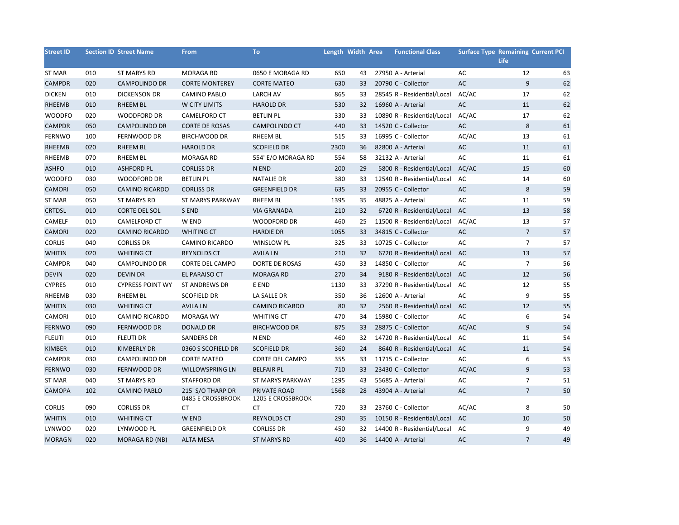| <b>Street ID</b> |     | <b>Section ID Street Name</b> | From                                   | <b>To</b>                                | Length Width Area |    | <b>Functional Class</b>       | <b>Surface Type Remaining Current PCI</b> |                |    |
|------------------|-----|-------------------------------|----------------------------------------|------------------------------------------|-------------------|----|-------------------------------|-------------------------------------------|----------------|----|
|                  |     |                               |                                        |                                          |                   |    |                               |                                           | <b>Life</b>    |    |
| ST MAR           | 010 | <b>ST MARYS RD</b>            | <b>MORAGA RD</b>                       | 0650 E MORAGA RD                         | 650               | 43 | 27950 A - Arterial            | AC                                        | 12             | 63 |
| <b>CAMPDR</b>    | 020 | <b>CAMPOLINDO DR</b>          | <b>CORTE MONTEREY</b>                  | <b>CORTE MATEO</b>                       | 630               | 33 | 20790 C - Collector           | AC                                        | 9              | 62 |
| <b>DICKEN</b>    | 010 | <b>DICKENSON DR</b>           | <b>CAMINO PABLO</b>                    | <b>LARCH AV</b>                          | 865               | 33 | 28545 R - Residential/Local   | AC/AC                                     | 17             | 62 |
| RHEEMB           | 010 | RHEEM BL                      | W CITY LIMITS                          | <b>HAROLD DR</b>                         | 530               | 32 | 16960 A - Arterial            | AC                                        | 11             | 62 |
| <b>WOODFO</b>    | 020 | <b>WOODFORD DR</b>            | <b>CAMELFORD CT</b>                    | <b>BETLIN PL</b>                         | 330               | 33 | 10890 R - Residential/Local   | AC/AC                                     | 17             | 62 |
| <b>CAMPDR</b>    | 050 | <b>CAMPOLINDO DR</b>          | <b>CORTE DE ROSAS</b>                  | CAMPOLINDO CT                            | 440               | 33 | 14520 C - Collector           | AC                                        | 8              | 61 |
| <b>FERNWO</b>    | 100 | FERNWOOD DR                   | <b>BIRCHWOOD DR</b>                    | <b>RHEEM BL</b>                          | 515               | 33 | 16995 C - Collector           | AC/AC                                     | 13             | 61 |
| RHEEMB           | 020 | <b>RHEEM BL</b>               | <b>HAROLD DR</b>                       | <b>SCOFIELD DR</b>                       | 2300              | 36 | 82800 A - Arterial            | AC                                        | 11             | 61 |
| RHEEMB           | 070 | <b>RHEEM BL</b>               | <b>MORAGA RD</b>                       | 554' E/O MORAGA RD                       | 554               | 58 | 32132 A - Arterial            | AC                                        | 11             | 61 |
| <b>ASHFO</b>     | 010 | <b>ASHFORD PL</b>             | <b>CORLISS DR</b>                      | N END                                    | 200               | 29 | 5800 R - Residential/Local    | AC/AC                                     | 15             | 60 |
| <b>WOODFO</b>    | 030 | <b>WOODFORD DR</b>            | <b>BETLIN PL</b>                       | <b>NATALIE DR</b>                        | 380               | 33 | 12540 R - Residential/Local   | AC                                        | 14             | 60 |
| CAMORI           | 050 | <b>CAMINO RICARDO</b>         | <b>CORLISS DR</b>                      | <b>GREENFIELD DR</b>                     | 635               | 33 | 20955 C - Collector           | AC                                        | 8              | 59 |
| <b>ST MAR</b>    | 050 | <b>ST MARYS RD</b>            | ST MARYS PARKWAY                       | RHEEM BL                                 | 1395              | 35 | 48825 A - Arterial            | AC                                        | 11             | 59 |
| <b>CRTDSL</b>    | 010 | CORTE DEL SOL                 | S END                                  | <b>VIA GRANADA</b>                       | 210               | 32 | 6720 R - Residential/Local    | AC                                        | 13             | 58 |
| CAMELF           | 010 | CAMELFORD CT                  | W END                                  | <b>WOODFORD DR</b>                       | 460               | 25 | 11500 R - Residential/Local   | AC/AC                                     | 13             | 57 |
| <b>CAMORI</b>    | 020 | <b>CAMINO RICARDO</b>         | <b>WHITING CT</b>                      | <b>HARDIE DR</b>                         | 1055              | 33 | 34815 C - Collector           | AC                                        | $\overline{7}$ | 57 |
| <b>CORLIS</b>    | 040 | <b>CORLISS DR</b>             | CAMINO RICARDO                         | <b>WINSLOW PL</b>                        | 325               | 33 | 10725 C - Collector           | AC                                        | $\overline{7}$ | 57 |
| <b>WHITIN</b>    | 020 | <b>WHITING CT</b>             | <b>REYNOLDS CT</b>                     | <b>AVILA LN</b>                          | 210               | 32 | 6720 R - Residential/Local    | <b>AC</b>                                 | 13             | 57 |
| <b>CAMPDR</b>    | 040 | <b>CAMPOLINDO DR</b>          | <b>CORTE DEL CAMPO</b>                 | DORTE DE ROSAS                           | 450               | 33 | 14850 C - Collector           | AC                                        | $\overline{7}$ | 56 |
| <b>DEVIN</b>     | 020 | <b>DEVIN DR</b>               | EL PARAISO CT                          | <b>MORAGA RD</b>                         | 270               | 34 | 9180 R - Residential/Local    | <b>AC</b>                                 | 12             | 56 |
| <b>CYPRES</b>    | 010 | <b>CYPRESS POINT WY</b>       | <b>ST ANDREWS DR</b>                   | E END                                    | 1130              | 33 | 37290 R - Residential/Local   | AC                                        | 12             | 55 |
| RHEEMB           | 030 | <b>RHEEM BL</b>               | <b>SCOFIELD DR</b>                     | LA SALLE DR                              | 350               | 36 | 12600 A - Arterial            | AC                                        | 9              | 55 |
| <b>WHITIN</b>    | 030 | <b>WHITING CT</b>             | <b>AVILA LN</b>                        | <b>CAMINO RICARDO</b>                    | 80                | 32 | 2560 R - Residential/Local    | AC                                        | 12             | 55 |
| CAMORI           | 010 | <b>CAMINO RICARDO</b>         | <b>MORAGA WY</b>                       | <b>WHITING CT</b>                        | 470               | 34 | 15980 C - Collector           | AC                                        | 6              | 54 |
| <b>FERNWO</b>    | 090 | FERNWOOD DR                   | <b>DONALD DR</b>                       | <b>BIRCHWOOD DR</b>                      | 875               | 33 | 28875 C - Collector           | AC/AC                                     | 9              | 54 |
| <b>FLEUTI</b>    | 010 | <b>FLEUTI DR</b>              | SANDERS DR                             | N END                                    | 460               | 32 | 14720 R - Residential/Local   | AC                                        | 11             | 54 |
| <b>KIMBER</b>    | 010 | <b>KIMBERLY DR</b>            | 0360 S SCOFIELD DR                     | <b>SCOFIELD DR</b>                       | 360               | 24 | 8640 R - Residential/Local AC |                                           | 11             | 54 |
| CAMPDR           | 030 | CAMPOLINDO DR                 | <b>CORTE MATEO</b>                     | <b>CORTE DEL CAMPO</b>                   | 355               | 33 | 11715 C - Collector           | AC                                        | 6              | 53 |
| <b>FERNWO</b>    | 030 | FERNWOOD DR                   | <b>WILLOWSPRING LN</b>                 | <b>BELFAIR PL</b>                        | 710               | 33 | 23430 C - Collector           | AC/AC                                     | 9              | 53 |
| <b>ST MAR</b>    | 040 | <b>ST MARYS RD</b>            | <b>STAFFORD DR</b>                     | <b>ST MARYS PARKWAY</b>                  | 1295              | 43 | 55685 A - Arterial            | AC                                        | $\overline{7}$ | 51 |
| <b>CAMOPA</b>    | 102 | <b>CAMINO PABLO</b>           | 215' S/O THARP DR<br>0485 E CROSSBROOK | PRIVATE ROAD<br><b>1205 E CROSSBROOK</b> | 1568              | 28 | 43904 A - Arterial            | AC                                        | $\overline{7}$ | 50 |
| <b>CORLIS</b>    | 090 | <b>CORLISS DR</b>             | <b>CT</b>                              | CT                                       | 720               | 33 | 23760 C - Collector           | AC/AC                                     | 8              | 50 |
| <b>WHITIN</b>    | 010 | <b>WHITING CT</b>             | W END                                  | <b>REYNOLDS CT</b>                       | 290               | 35 | 10150 R - Residential/Local   | <b>AC</b>                                 | 10             | 50 |
| <b>LYNWOO</b>    | 020 | LYNWOOD PL                    | <b>GREENFIELD DR</b>                   | <b>CORLISS DR</b>                        | 450               | 32 | 14400 R - Residential/Local   | AC                                        | 9              | 49 |
| <b>MORAGN</b>    | 020 | <b>MORAGA RD (NB)</b>         | <b>ALTA MESA</b>                       | <b>ST MARYS RD</b>                       | 400               | 36 | 14400 A - Arterial            | <b>AC</b>                                 | $\overline{7}$ | 49 |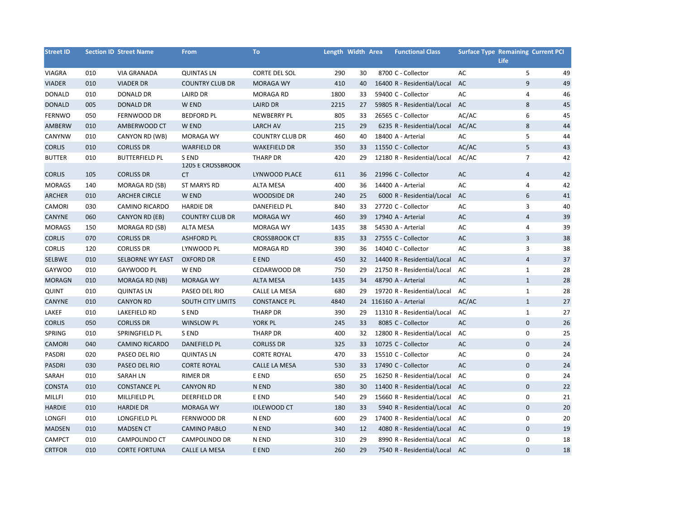| <b>Street ID</b> |     | <b>Section ID Street Name</b> | <b>From</b>                       | <b>To</b>              | Length Width Area |    | <b>Functional Class</b>       | <b>Surface Type Remaining Current PCI</b> | Life           |    |
|------------------|-----|-------------------------------|-----------------------------------|------------------------|-------------------|----|-------------------------------|-------------------------------------------|----------------|----|
| <b>VIAGRA</b>    | 010 | <b>VIA GRANADA</b>            | <b>QUINTAS LN</b>                 | CORTE DEL SOL          | 290               | 30 | 8700 C - Collector            | AC                                        | 5              | 49 |
| <b>VIADER</b>    | 010 | <b>VIADER DR</b>              | <b>COUNTRY CLUB DR</b>            | <b>MORAGA WY</b>       | 410               | 40 | 16400 R - Residential/Local   | AC                                        | $\overline{9}$ | 49 |
| <b>DONALD</b>    | 010 | <b>DONALD DR</b>              | <b>LAIRD DR</b>                   | <b>MORAGA RD</b>       | 1800              | 33 | 59400 C - Collector           | AC                                        | 4              | 46 |
| <b>DONALD</b>    | 005 | <b>DONALD DR</b>              | W END                             | <b>LAIRD DR</b>        | 2215              | 27 | 59805 R - Residential/Local   | AC                                        | 8              | 45 |
| <b>FERNWO</b>    | 050 | FERNWOOD DR                   | <b>BEDFORD PL</b>                 | NEWBERRY PL            | 805               | 33 | 26565 C - Collector           | AC/AC                                     | 6              | 45 |
| AMBERW           | 010 | AMBERWOOD CT                  | W END                             | <b>LARCH AV</b>        | 215               | 29 | 6235 R - Residential/Local    | AC/AC                                     | 8              | 44 |
| CANYNW           | 010 | CANYON RD (WB)                | <b>MORAGA WY</b>                  | <b>COUNTRY CLUB DR</b> | 460               | 40 | 18400 A - Arterial            | AC                                        | 5              | 44 |
| <b>CORLIS</b>    | 010 | <b>CORLISS DR</b>             | <b>WARFIELD DR</b>                | <b>WAKEFIELD DR</b>    | 350               | 33 | 11550 C - Collector           | AC/AC                                     | 5              | 43 |
| <b>BUTTER</b>    | 010 | <b>BUTTERFIELD PL</b>         | S END<br><b>1205 E CROSSBROOK</b> | <b>THARP DR</b>        | 420               | 29 | 12180 R - Residential/Local   | AC/AC                                     | $\overline{7}$ | 42 |
| <b>CORLIS</b>    | 105 | <b>CORLISS DR</b>             | CT                                | LYNWOOD PLACE          | 611               | 36 | 21996 C - Collector           | AC                                        | $\overline{4}$ | 42 |
| <b>MORAGS</b>    | 140 | MORAGA RD (SB)                | <b>ST MARYS RD</b>                | <b>ALTA MESA</b>       | 400               | 36 | 14400 A - Arterial            | AC                                        | 4              | 42 |
| <b>ARCHER</b>    | 010 | <b>ARCHER CIRCLE</b>          | W END                             | <b>WOODSIDE DR</b>     | 240               | 25 | 6000 R - Residential/Local    | AC                                        | 6              | 41 |
| CAMORI           | 030 | <b>CAMINO RICARDO</b>         | <b>HARDIE DR</b>                  | DANEFIELD PL           | 840               | 33 | 27720 C - Collector           | AC                                        | 3              | 40 |
| CANYNE           | 060 | CANYON RD (EB)                | <b>COUNTRY CLUB DR</b>            | <b>MORAGA WY</b>       | 460               | 39 | 17940 A - Arterial            | AC                                        | $\overline{4}$ | 39 |
| <b>MORAGS</b>    | 150 | MORAGA RD (SB)                | <b>ALTA MESA</b>                  | <b>MORAGA WY</b>       | 1435              | 38 | 54530 A - Arterial            | AC                                        | $\overline{4}$ | 39 |
| <b>CORLIS</b>    | 070 | <b>CORLISS DR</b>             | <b>ASHFORD PL</b>                 | <b>CROSSBROOK CT</b>   | 835               | 33 | 27555 C - Collector           | AC                                        | 3              | 38 |
| <b>CORLIS</b>    | 120 | <b>CORLISS DR</b>             | LYNWOOD PL                        | MORAGA RD              | 390               | 36 | 14040 C - Collector           | AC                                        | 3              | 38 |
| SELBWE           | 010 | SELBORNE WY EAST              | <b>OXFORD DR</b>                  | E END                  | 450               | 32 | 14400 R - Residential/Local   | AC                                        | $\overline{4}$ | 37 |
| GAYWOO           | 010 | GAYWOOD PL                    | W END                             | CEDARWOOD DR           | 750               | 29 | 21750 R - Residential/Local   | AC                                        | $\mathbf{1}$   | 28 |
| <b>MORAGN</b>    | 010 | MORAGA RD (NB)                | <b>MORAGA WY</b>                  | <b>ALTA MESA</b>       | 1435              | 34 | 48790 A - Arterial            | AC                                        | $\mathbf{1}$   | 28 |
| <b>QUINT</b>     | 010 | <b>QUINTAS LN</b>             | PASEO DEL RIO                     | CALLE LA MESA          | 680               | 29 | 19720 R - Residential/Local   | AC                                        | $\mathbf 1$    | 28 |
| <b>CANYNE</b>    | 010 | <b>CANYON RD</b>              | <b>SOUTH CITY LIMITS</b>          | <b>CONSTANCE PL</b>    | 4840              |    | 24 116160 A - Arterial        | AC/AC                                     | $\mathbf{1}$   | 27 |
| LAKEF            | 010 | LAKEFIELD RD                  | S END                             | THARP DR               | 390               | 29 | 11310 R - Residential/Local   | AC                                        | $\mathbf 1$    | 27 |
| <b>CORLIS</b>    | 050 | <b>CORLISS DR</b>             | <b>WINSLOW PL</b>                 | YORK PL                | 245               | 33 | 8085 C - Collector            | AC                                        | $\mathbf 0$    | 26 |
| SPRING           | 010 | SPRINGFIELD PL                | S END                             | <b>THARP DR</b>        | 400               | 32 | 12800 R - Residential/Local   | AC                                        | $\pmb{0}$      | 25 |
| <b>CAMORI</b>    | 040 | <b>CAMINO RICARDO</b>         | <b>DANEFIELD PL</b>               | <b>CORLISS DR</b>      | 325               | 33 | 10725 C - Collector           | AC                                        | $\mathbf 0$    | 24 |
| PASDRI           | 020 | PASEO DEL RIO                 | <b>QUINTAS LN</b>                 | <b>CORTE ROYAL</b>     | 470               | 33 | 15510 C - Collector           | AC                                        | $\mathbf 0$    | 24 |
| PASDRI           | 030 | PASEO DEL RIO                 | <b>CORTE ROYAL</b>                | CALLE LA MESA          | 530               | 33 | 17490 C - Collector           | AC                                        | $\mathbf 0$    | 24 |
| SARAH            | 010 | <b>SARAH LN</b>               | <b>RIMER DR</b>                   | E END                  | 650               | 25 | 16250 R - Residential/Local   | AC                                        | $\mathbf 0$    | 24 |
| <b>CONSTA</b>    | 010 | <b>CONSTANCE PL</b>           | <b>CANYON RD</b>                  | N END                  | 380               | 30 | 11400 R - Residential/Local   | AC                                        | $\mathbf 0$    | 22 |
| MILLFI           | 010 | MILLFIELD PL                  | DEERFIELD DR                      | E END                  | 540               | 29 | 15660 R - Residential/Local   | AC                                        | 0              | 21 |
| <b>HARDIE</b>    | 010 | <b>HARDIE DR</b>              | <b>MORAGA WY</b>                  | <b>IDLEWOOD CT</b>     | 180               | 33 | 5940 R - Residential/Local    | AC                                        | $\mathbf 0$    | 20 |
| <b>LONGFI</b>    | 010 | LONGFIELD PL                  | FERNWOOD DR                       | N END                  | 600               | 29 | 17400 R - Residential/Local   | AC                                        | 0              | 20 |
| <b>MADSEN</b>    | 010 | <b>MADSEN CT</b>              | <b>CAMINO PABLO</b>               | N END                  | 340               | 12 | 4080 R - Residential/Local    | AC                                        | $\mathbf 0$    | 19 |
| <b>CAMPCT</b>    | 010 | CAMPOLINDO CT                 | CAMPOLINDO DR                     | N END                  | 310               | 29 | 8990 R - Residential/Local    | AC                                        | 0              | 18 |
| <b>CRTFOR</b>    | 010 | <b>CORTE FORTUNA</b>          | <b>CALLE LA MESA</b>              | E END                  | 260               | 29 | 7540 R - Residential/Local AC |                                           | $\mathbf 0$    | 18 |